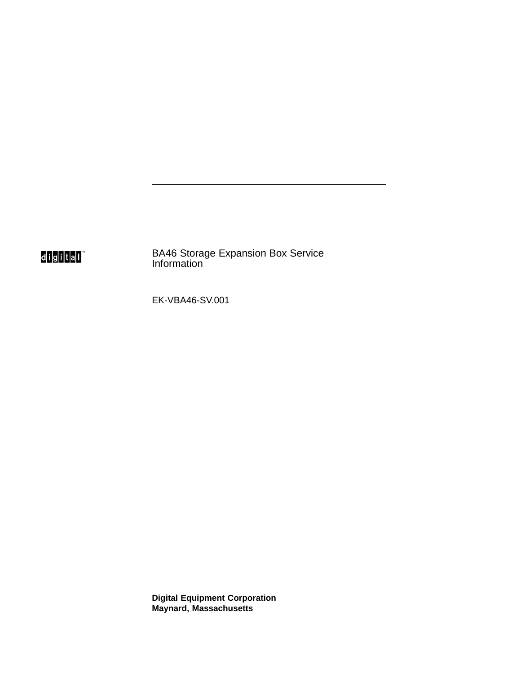digital

BA46 Storage Expansion Box Service Information

EK-VBA46-SV.001

**Digital Equipment Corporation Maynard, Massachusetts**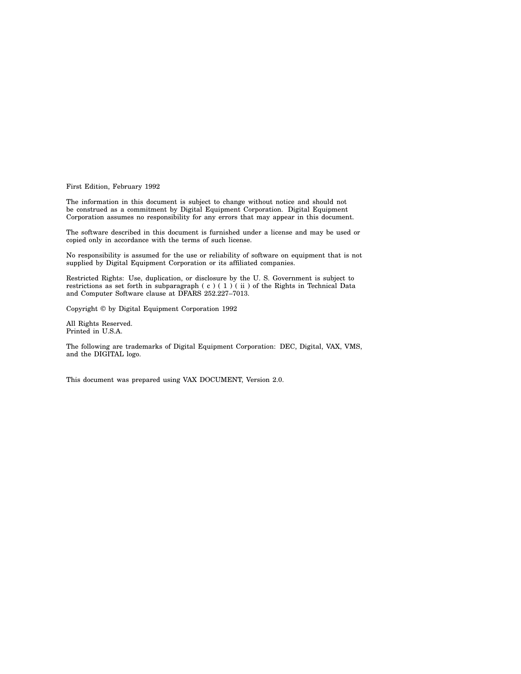First Edition, February 1992

The information in this document is subject to change without notice and should not be construed as a commitment by Digital Equipment Corporation. Digital Equipment Corporation assumes no responsibility for any errors that may appear in this document.

The software described in this document is furnished under a license and may be used or copied only in accordance with the terms of such license.

No responsibility is assumed for the use or reliability of software on equipment that is not supplied by Digital Equipment Corporation or its affiliated companies.

Restricted Rights: Use, duplication, or disclosure by the U. S. Government is subject to restrictions as set forth in subparagraph (c) (1) (ii) of the Rights in Technical Data and Computer Software clause at DFARS 252.227–7013.

Copyright © by Digital Equipment Corporation 1992

All Rights Reserved. Printed in U.S.A.

The following are trademarks of Digital Equipment Corporation: DEC, Digital, VAX, VMS, and the DIGITAL logo.

This document was prepared using VAX DOCUMENT, Version 2.0.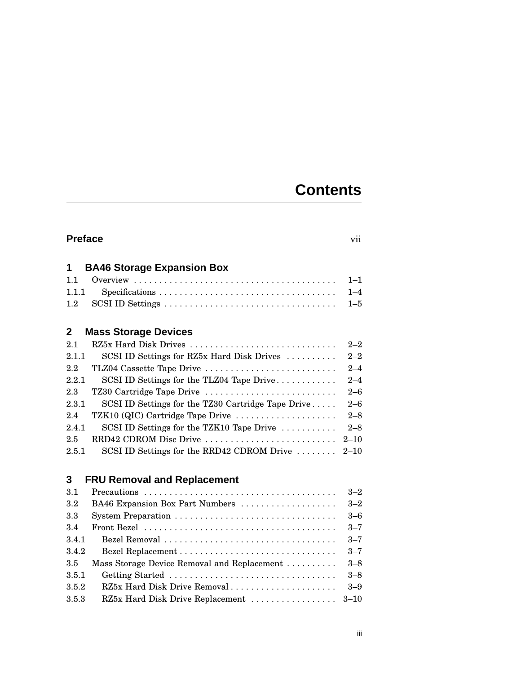# **Contents**

## **Preface** vii

| 1            | <b>BA46 Storage Expansion Box</b>                  |          |
|--------------|----------------------------------------------------|----------|
| 1.1          |                                                    | $1 - 1$  |
| 1.1.1        |                                                    | $1 - 4$  |
| 1.2          |                                                    | $1 - 5$  |
|              |                                                    |          |
| $\mathbf{2}$ | <b>Mass Storage Devices</b>                        |          |
| 2.1          | RZ5x Hard Disk Drives                              | $2 - 2$  |
| 2.1.1        | SCSI ID Settings for RZ5x Hard Disk Drives         | $2 - 2$  |
| 2.2          | TLZ04 Cassette Tape Drive                          | $2 - 4$  |
| 2.2.1        | SCSI ID Settings for the TLZ04 Tape Drive          | $2 - 4$  |
| 2.3          | TZ30 Cartridge Tape Drive                          | $2 - 6$  |
| 2.3.1        | SCSI ID Settings for the TZ30 Cartridge Tape Drive | $2 - 6$  |
| 2.4          | TZK10 (QIC) Cartridge Tape Drive                   | $2 - 8$  |
| 2.4.1        | SCSI ID Settings for the TZK10 Tape Drive          | $2 - 8$  |
| 2.5          | RRD42 CDROM Disc Drive                             | $2 - 10$ |
| 2.5.1        | SCSI ID Settings for the RRD42 CDROM Drive         | $2 - 10$ |

## **3 FRU Removal and Replacement**

| 3.1     |                                             | $3 - 2$ |
|---------|---------------------------------------------|---------|
| $3.2\,$ | BA46 Expansion Box Part Numbers             | $3 - 2$ |
| 3.3     |                                             | $3 - 6$ |
| 3.4     |                                             | $3 - 7$ |
| 3.4.1   |                                             | $3 - 7$ |
| 3.4.2   |                                             | $3 - 7$ |
| 3.5     | Mass Storage Device Removal and Replacement | $3 - 8$ |
| 3.5.1   | Getting Started                             | $3 - 8$ |
| 3.5.2   | RZ5x Hard Disk Drive Removal                | $3 - 9$ |
| 3.5.3   | RZ5x Hard Disk Drive Replacement  3-10      |         |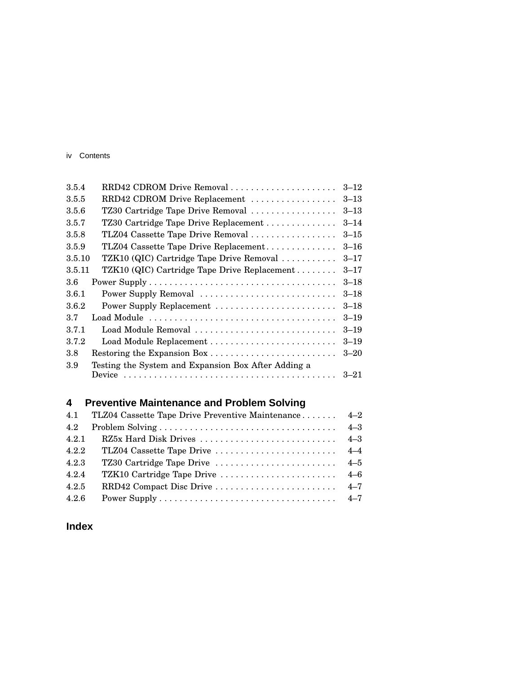#### iv Contents

| 3.5.4  | RRD42 CDROM Drive Removal                           | $3 - 12$ |
|--------|-----------------------------------------------------|----------|
| 3.5.5  | RRD42 CDROM Drive Replacement                       | $3 - 13$ |
| 3.5.6  | TZ30 Cartridge Tape Drive Removal                   | $3 - 13$ |
| 3.5.7  | TZ30 Cartridge Tape Drive Replacement               | $3 - 14$ |
| 3.5.8  | TLZ04 Cassette Tape Drive Removal                   | $3 - 15$ |
| 3.5.9  | TLZ04 Cassette Tape Drive Replacement               | $3 - 16$ |
| 3.5.10 | TZK10 (QIC) Cartridge Tape Drive Removal            | $3 - 17$ |
| 3.5.11 | TZK10 (QIC) Cartridge Tape Drive Replacement        | $3 - 17$ |
| 3.6    |                                                     | $3 - 18$ |
| 3.6.1  | Power Supply Removal                                | $3 - 18$ |
| 3.6.2  | Power Supply Replacement                            | $3 - 18$ |
| 3.7    |                                                     | $3 - 19$ |
| 3.7.1  | Load Module Removal                                 | $3 - 19$ |
| 3.7.2  |                                                     | $3 - 19$ |
| 3.8    | Restoring the Expansion Box                         | $3 - 20$ |
| 3.9    | Testing the System and Expansion Box After Adding a |          |
|        |                                                     | $3 - 21$ |

# **4 Preventive Maintenance and Problem Solving**

| 4.1   | TLZ04 Cassette Tape Drive Preventive Maintenance 4–2 |         |
|-------|------------------------------------------------------|---------|
| 4.2   |                                                      | $4 - 3$ |
| 4.2.1 |                                                      |         |
| 4.2.2 |                                                      |         |
| 4.2.3 |                                                      |         |
| 4.2.4 |                                                      |         |
| 4.2.5 |                                                      |         |
| 4.2.6 |                                                      |         |

## **Index**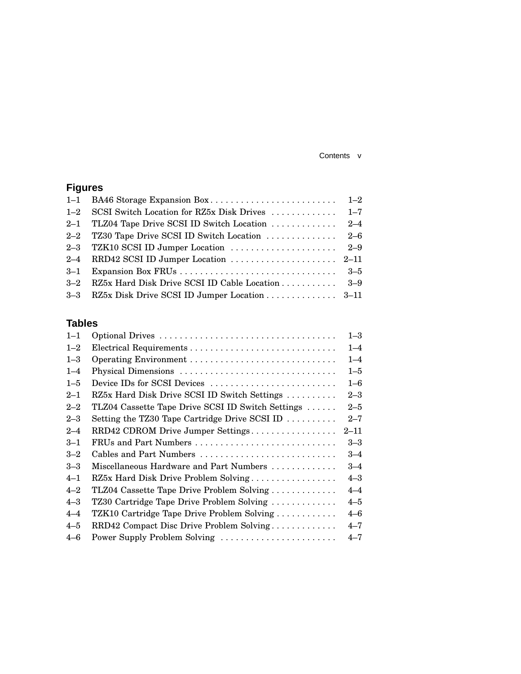#### Contents v

## **Figures**

| 1-2 SCSI Switch Location for RZ5x Disk Drives  1-7  |  |
|-----------------------------------------------------|--|
| 2-1 TLZ04 Tape Drive SCSI ID Switch Location  2-4   |  |
|                                                     |  |
|                                                     |  |
|                                                     |  |
|                                                     |  |
| 3-2 RZ5x Hard Disk Drive SCSI ID Cable Location 3-9 |  |
| 3-3 RZ5x Disk Drive SCSI ID Jumper Location 3-11    |  |
|                                                     |  |

## **Tables**

| $1 - 1$ |                                                   | $1 - 3$  |
|---------|---------------------------------------------------|----------|
| $1 - 2$ |                                                   | $1 - 4$  |
| $1 - 3$ |                                                   | $1 - 4$  |
| $1 - 4$ | Physical Dimensions                               | $1 - 5$  |
| $1 - 5$ | Device IDs for SCSI Devices                       | $1 - 6$  |
| $2 - 1$ | RZ5x Hard Disk Drive SCSI ID Switch Settings      | $2 - 3$  |
| $2 - 2$ | TLZ04 Cassette Tape Drive SCSI ID Switch Settings | $2 - 5$  |
| $2 - 3$ | Setting the TZ30 Tape Cartridge Drive SCSI ID     | $2 - 7$  |
| $2 - 4$ | RRD42 CDROM Drive Jumper Settings                 | $2 - 11$ |
| $3 - 1$ | FRUs and Part Numbers                             | $3 - 3$  |
| $3 - 2$ | Cables and Part Numbers                           | $3 - 4$  |
| $3 - 3$ | Miscellaneous Hardware and Part Numbers           | $3 - 4$  |
| $4 - 1$ | RZ5x Hard Disk Drive Problem Solving              | $4 - 3$  |
| $4 - 2$ | TLZ04 Cassette Tape Drive Problem Solving         | $4 - 4$  |
| $4 - 3$ | TZ30 Cartridge Tape Drive Problem Solving         | $4 - 5$  |
| $4 - 4$ | TZK10 Cartridge Tape Drive Problem Solving        | $4 - 6$  |
| $4 - 5$ | RRD42 Compact Disc Drive Problem Solving          | $4 - 7$  |
| $4 - 6$ | Power Supply Problem Solving                      | $4 - 7$  |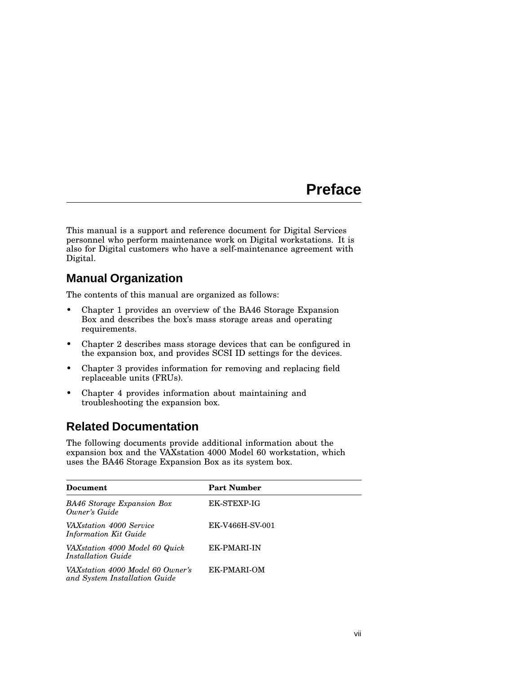# **Preface**

This manual is a support and reference document for Digital Services personnel who perform maintenance work on Digital workstations. It is also for Digital customers who have a self-maintenance agreement with Digital.

## **Manual Organization**

The contents of this manual are organized as follows:

- Chapter 1 provides an overview of the BA46 Storage Expansion Box and describes the box's mass storage areas and operating requirements.
- Chapter 2 describes mass storage devices that can be configured in the expansion box, and provides SCSI ID settings for the devices.
- Chapter 3 provides information for removing and replacing field replaceable units (FRUs).
- Chapter 4 provides information about maintaining and troubleshooting the expansion box.

## **Related Documentation**

The following documents provide additional information about the expansion box and the VAXstation 4000 Model 60 workstation, which uses the BA46 Storage Expansion Box as its system box.

| Document                                                          | <b>Part Number</b> |
|-------------------------------------------------------------------|--------------------|
| BA46 Storage Expansion Box<br>Owner's Guide                       | <b>EK-STEXP-IG</b> |
| VAX station 4000 Service<br><b>Information Kit Guide</b>          | EK-V466H-SV-001    |
| VAXstation 4000 Model 60 Quick<br>Installation Guide              | <b>EK-PMARI-IN</b> |
| VAXstation 4000 Model 60 Owner's<br>and System Installation Guide | EK-PMARI-OM        |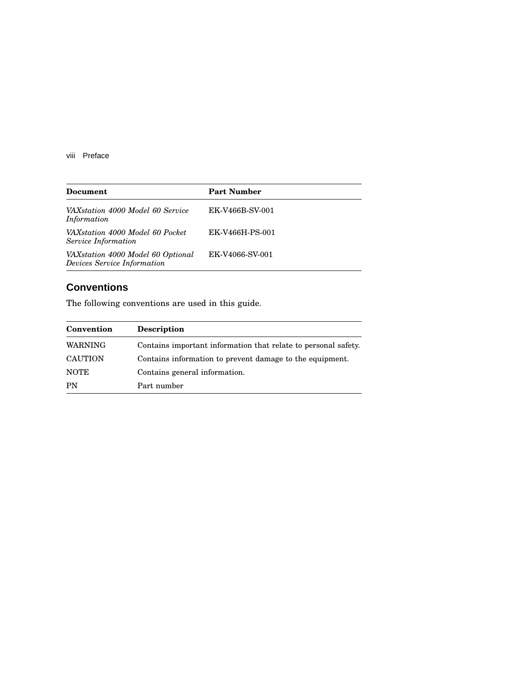viii Preface

| Document                                                         | <b>Part Number</b> |
|------------------------------------------------------------------|--------------------|
| VAXstation 4000 Model 60 Service<br>Information                  | EK-V466B-SV-001    |
| VAXstation 4000 Model 60 Pocket<br>Service Information           | EK-V466H-PS-001    |
| VAXstation 4000 Model 60 Optional<br>Devices Service Information | EK-V4066-SV-001    |

## **Conventions**

The following conventions are used in this guide.

| Convention     | <b>Description</b>                                             |
|----------------|----------------------------------------------------------------|
| <b>WARNING</b> | Contains important information that relate to personal safety. |
| <b>CAUTION</b> | Contains information to prevent damage to the equipment.       |
| <b>NOTE</b>    | Contains general information.                                  |
| PN             | Part number                                                    |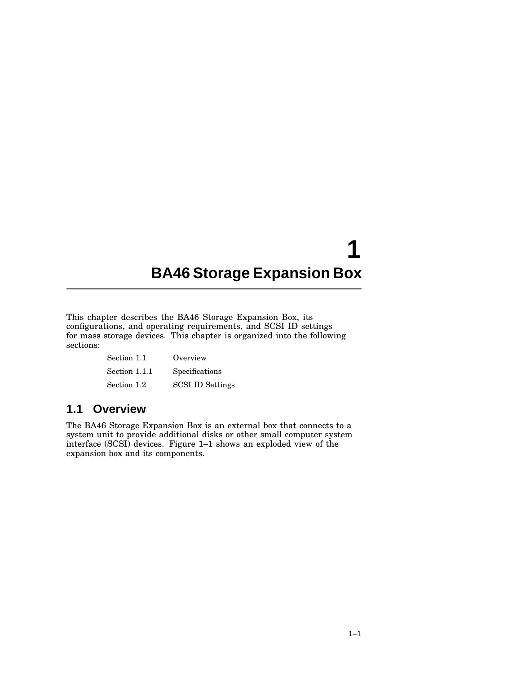# **1 BA46 Storage Expansion Box**

This chapter describes the BA46 Storage Expansion Box, its configurations, and operating requirements, and SCSI ID settings for mass storage devices. This chapter is organized into the following sections:

| Section 1.1   | Overview                |
|---------------|-------------------------|
| Section 1.1.1 | Specifications          |
| Section 1.2   | <b>SCSI ID Settings</b> |

## **1.1 Overview**

The BA46 Storage Expansion Box is an external box that connects to a system unit to provide additional disks or other small computer system interface (SCSI) devices. Figure 1–1 shows an exploded view of the expansion box and its components.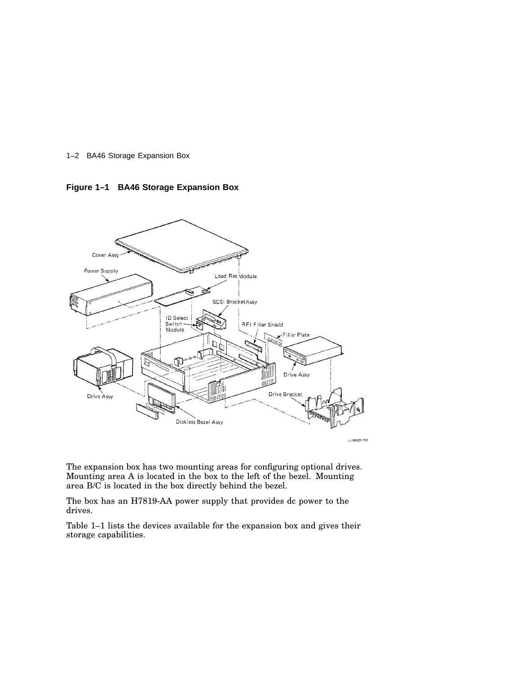

**Figure 1–1 BA46 Storage Expansion Box**



The expansion box has two mounting areas for configuring optional drives. Mounting area A is located in the box to the left of the bezel. Mounting area B/C is located in the box directly behind the bezel.

The box has an H7819-AA power supply that provides dc power to the drives.

Table 1–1 lists the devices available for the expansion box and gives their storage capabilities.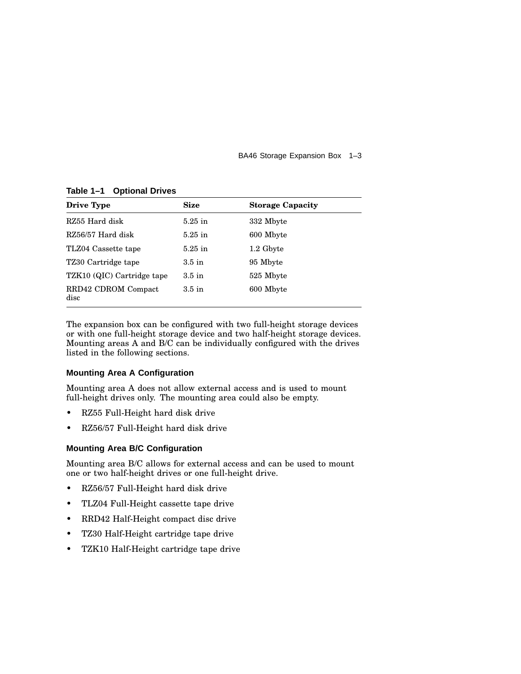BA46 Storage Expansion Box 1–3

**Drive Type Size Storage Capacity** RZ55 Hard disk 5.25 in 332 Mbyte RZ56/57 Hard disk 5.25 in 600 Mbyte TLZ04 Cassette tape 5.25 in 1.2 Gbyte TZ30 Cartridge tape 3.5 in 95 Mbyte TZK10 (QIC) Cartridge tape 3.5 in 525 Mbyte RRD42 CDROM Compact disc 3.5 in 600 Mbyte

**Table 1–1 Optional Drives**

The expansion box can be configured with two full-height storage devices or with one full-height storage device and two half-height storage devices. Mounting areas A and B/C can be individually configured with the drives listed in the following sections.

#### **Mounting Area A Configuration**

Mounting area A does not allow external access and is used to mount full-height drives only. The mounting area could also be empty.

- RZ55 Full-Height hard disk drive
- RZ56/57 Full-Height hard disk drive

#### **Mounting Area B/C Configuration**

Mounting area B/C allows for external access and can be used to mount one or two half-height drives or one full-height drive.

- RZ56/57 Full-Height hard disk drive
- TLZ04 Full-Height cassette tape drive
- RRD42 Half-Height compact disc drive
- TZ30 Half-Height cartridge tape drive
- TZK10 Half-Height cartridge tape drive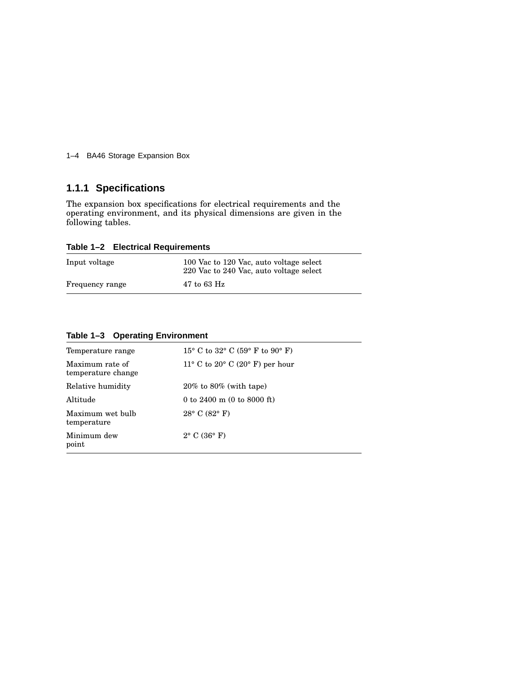1–4 BA46 Storage Expansion Box

## **1.1.1 Specifications**

The expansion box specifications for electrical requirements and the operating environment, and its physical dimensions are given in the following tables.

**Table 1–2 Electrical Requirements**

| Input voltage   | 100 Vac to 120 Vac, auto voltage select<br>220 Vac to 240 Vac, auto voltage select |
|-----------------|------------------------------------------------------------------------------------|
| Frequency range | $47$ to 63 Hz                                                                      |

| Table 1-3 Operating Environment |  |  |  |
|---------------------------------|--|--|--|
|---------------------------------|--|--|--|

| Temperature range                     | 15° C to 32° C (59° F to 90° F)               |
|---------------------------------------|-----------------------------------------------|
| Maximum rate of<br>temperature change | 11° C to 20° C (20° F) per hour               |
| Relative humidity                     | $20\%$ to $80\%$ (with tape)                  |
| Altitude                              | 0 to 2400 m $(0 \text{ to } 8000 \text{ ft})$ |
| Maximum wet bulb<br>temperature       | $28^{\circ}$ C (82 $^{\circ}$ F)              |
| Minimum dew<br>point                  | $2^{\circ}$ C (36 $^{\circ}$ F)               |
|                                       |                                               |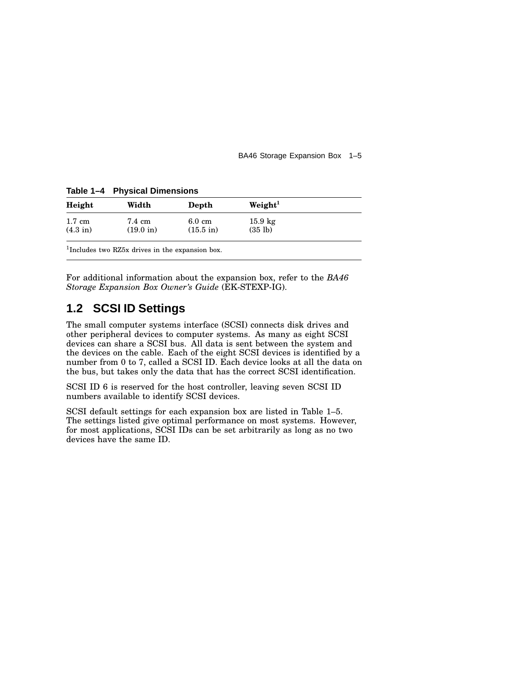BA46 Storage Expansion Box 1–5

**Table 1–4 Physical Dimensions**

| Width                         | Depth                                   | Weight <sup>1</sup>          |  |
|-------------------------------|-----------------------------------------|------------------------------|--|
| 7.4 cm<br>$(19.0 \text{ in})$ | $6.0 \text{ cm}$<br>$(15.5 \text{ in})$ | $15.9 \text{ kg}$<br>(35 lb) |  |
|                               |                                         |                              |  |

1 Includes two RZ5x drives in the expansion box.

For additional information about the expansion box, refer to the *BA46 Storage Expansion Box Owner's Guide* (EK-STEXP-IG).

## **1.2 SCSI ID Settings**

The small computer systems interface (SCSI) connects disk drives and other peripheral devices to computer systems. As many as eight SCSI devices can share a SCSI bus. All data is sent between the system and the devices on the cable. Each of the eight SCSI devices is identified by a number from 0 to 7, called a SCSI ID. Each device looks at all the data on the bus, but takes only the data that has the correct SCSI identification.

SCSI ID 6 is reserved for the host controller, leaving seven SCSI ID numbers available to identify SCSI devices.

SCSI default settings for each expansion box are listed in Table 1–5. The settings listed give optimal performance on most systems. However, for most applications, SCSI IDs can be set arbitrarily as long as no two devices have the same ID.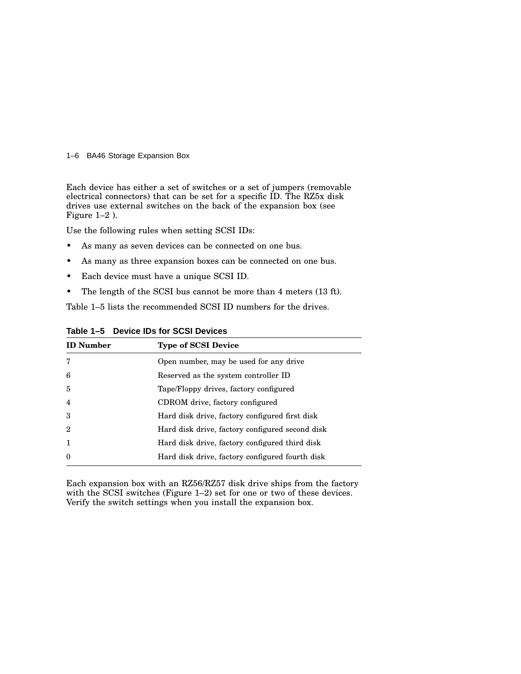#### 1–6 BA46 Storage Expansion Box

Each device has either a set of switches or a set of jumpers (removable electrical connectors) that can be set for a specific ID. The RZ5x disk drives use external switches on the back of the expansion box (see Figure 1–2 ).

Use the following rules when setting SCSI IDs:

- As many as seven devices can be connected on one bus.
- As many as three expansion boxes can be connected on one bus.
- Each device must have a unique SCSI ID.
- The length of the SCSI bus cannot be more than 4 meters (13 ft).

Table 1–5 lists the recommended SCSI ID numbers for the drives.

| <b>ID</b> Number | <b>Type of SCSI Device</b>                      |
|------------------|-------------------------------------------------|
| 7                | Open number, may be used for any drive          |
| 6                | Reserved as the system controller ID            |
| $\overline{5}$   | Tape/Floppy drives, factory configured          |
| $\overline{4}$   | CDROM drive, factory configured                 |
| 3                | Hard disk drive, factory configured first disk  |
| $\overline{2}$   | Hard disk drive, factory configured second disk |
| $\mathbf{1}$     | Hard disk drive, factory configured third disk  |
| $\theta$         | Hard disk drive, factory configured fourth disk |

**Table 1–5 Device IDs for SCSI Devices**

Each expansion box with an RZ56/RZ57 disk drive ships from the factory with the SCSI switches (Figure 1–2) set for one or two of these devices. Verify the switch settings when you install the expansion box.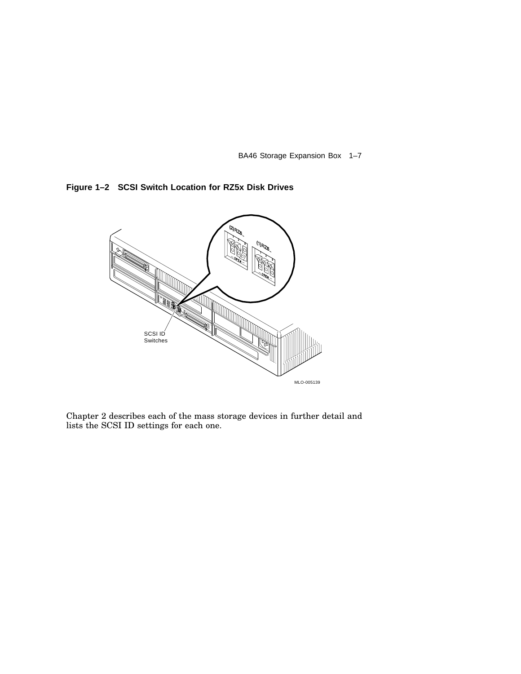BA46 Storage Expansion Box 1–7





Chapter 2 describes each of the mass storage devices in further detail and lists the SCSI ID settings for each one.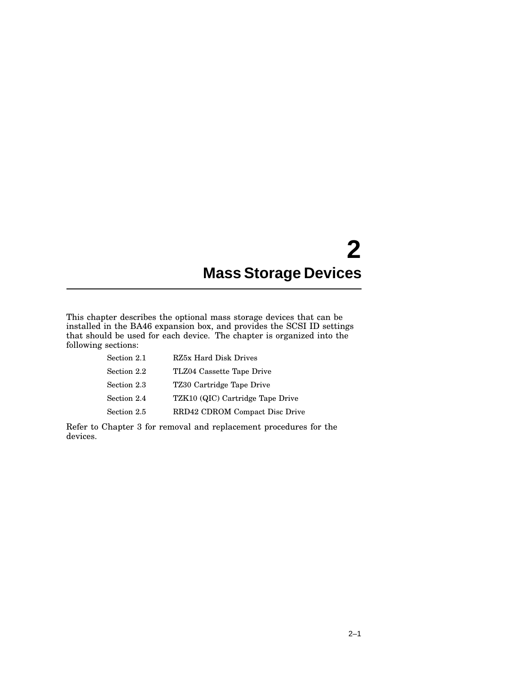# **2 Mass Storage Devices**

This chapter describes the optional mass storage devices that can be installed in the BA46 expansion box, and provides the SCSI ID settings that should be used for each device. The chapter is organized into the following sections:

| Section 2.1 | RZ5x Hard Disk Drives            |
|-------------|----------------------------------|
| Section 2.2 | TLZ04 Cassette Tape Drive        |
| Section 2.3 | TZ30 Cartridge Tape Drive        |
| Section 2.4 | TZK10 (QIC) Cartridge Tape Drive |
| Section 2.5 | RRD42 CDROM Compact Disc Drive   |
|             |                                  |

Refer to Chapter 3 for removal and replacement procedures for the devices.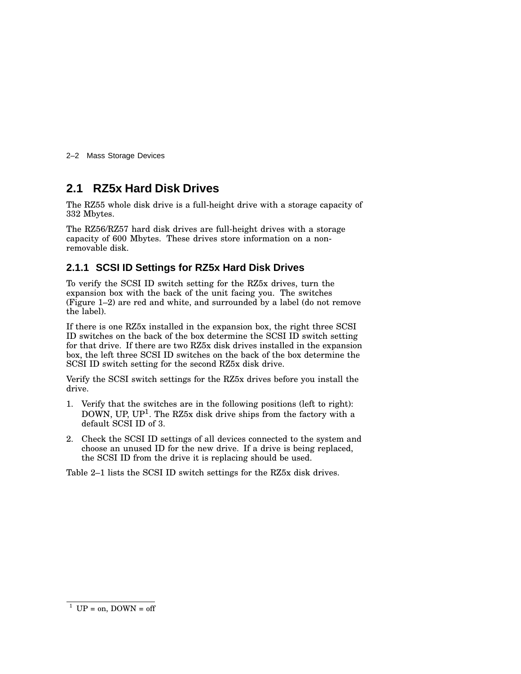2–2 Mass Storage Devices

## **2.1 RZ5x Hard Disk Drives**

The RZ55 whole disk drive is a full-height drive with a storage capacity of 332 Mbytes.

The RZ56/RZ57 hard disk drives are full-height drives with a storage capacity of 600 Mbytes. These drives store information on a nonremovable disk.

#### **2.1.1 SCSI ID Settings for RZ5x Hard Disk Drives**

To verify the SCSI ID switch setting for the RZ5x drives, turn the expansion box with the back of the unit facing you. The switches (Figure 1–2) are red and white, and surrounded by a label (do not remove the label).

If there is one RZ5x installed in the expansion box, the right three SCSI ID switches on the back of the box determine the SCSI ID switch setting for that drive. If there are two RZ5x disk drives installed in the expansion box, the left three SCSI ID switches on the back of the box determine the SCSI ID switch setting for the second RZ5x disk drive.

Verify the SCSI switch settings for the RZ5x drives before you install the drive.

- 1. Verify that the switches are in the following positions (left to right): DOWN, UP, UP<sup>1</sup>. The RZ5x disk drive ships from the factory with a default SCSI ID of 3.
- 2. Check the SCSI ID settings of all devices connected to the system and choose an unused ID for the new drive. If a drive is being replaced, the SCSI ID from the drive it is replacing should be used.

Table 2–1 lists the SCSI ID switch settings for the RZ5x disk drives.

<sup>&</sup>lt;sup>1</sup> UP = on, DOWN = off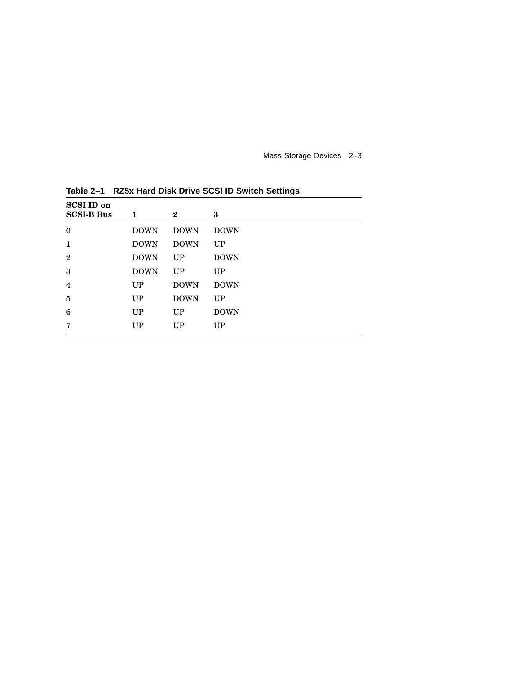Mass Storage Devices 2–3

| <b>SCSI ID on</b> |             |             |             |
|-------------------|-------------|-------------|-------------|
| <b>SCSI-B Bus</b> | 1           | $\bf{2}$    | 3           |
| $\boldsymbol{0}$  | <b>DOWN</b> | <b>DOWN</b> | <b>DOWN</b> |
| $\mathbf{1}$      | <b>DOWN</b> | <b>DOWN</b> | UP          |
| $\overline{2}$    | <b>DOWN</b> | UP          | <b>DOWN</b> |
| 3                 | <b>DOWN</b> | UP          | UP          |
| $\overline{4}$    | <b>UP</b>   | <b>DOWN</b> | <b>DOWN</b> |
| 5                 | <b>UP</b>   | <b>DOWN</b> | UP          |
| 6                 | <b>UP</b>   | <b>UP</b>   | <b>DOWN</b> |
| 7                 | <b>UP</b>   | UP          | UP          |

**Table 2–1 RZ5x Hard Disk Drive SCSI ID Switch Settings**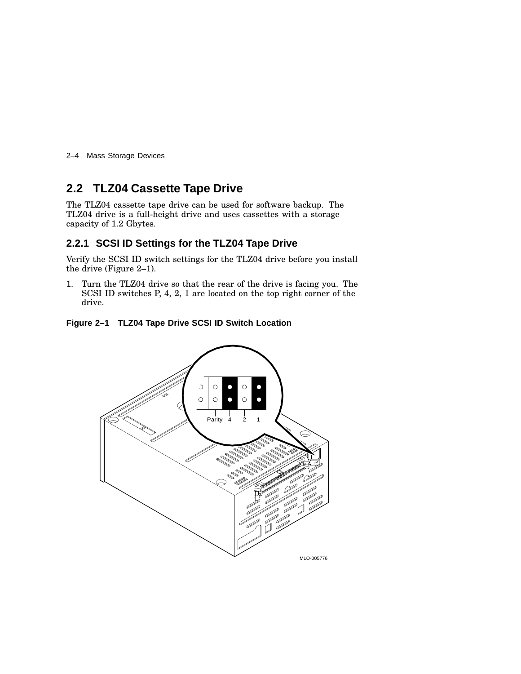2–4 Mass Storage Devices

## **2.2 TLZ04 Cassette Tape Drive**

The TLZ04 cassette tape drive can be used for software backup. The TLZ04 drive is a full-height drive and uses cassettes with a storage capacity of 1.2 Gbytes.

#### **2.2.1 SCSI ID Settings for the TLZ04 Tape Drive**

Verify the SCSI ID switch settings for the TLZ04 drive before you install the drive (Figure 2–1).

1. Turn the TLZ04 drive so that the rear of the drive is facing you. The SCSI ID switches P, 4, 2, 1 are located on the top right corner of the drive.



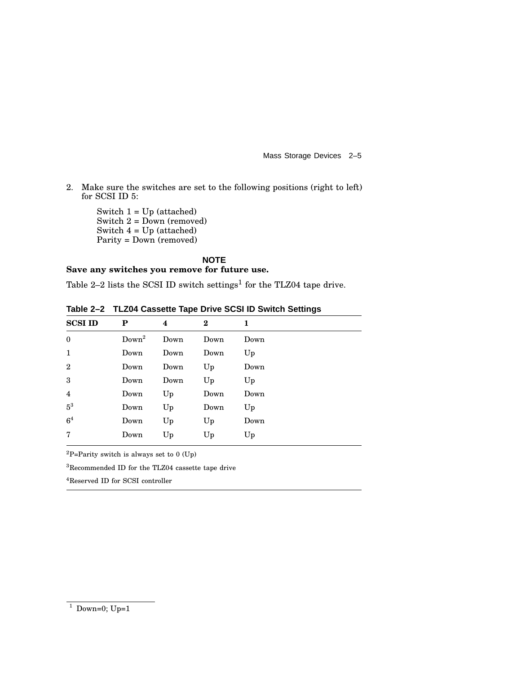Mass Storage Devices 2–5

2. Make sure the switches are set to the following positions (right to left) for SCSI ID 5:

> Switch 1 = Up (attached) Switch 2 = Down (removed) Switch 4 = Up (attached) Parity = Down (removed)

**NOTE Save any switches you remove for future use.**

Table 2–2 lists the SCSI ID switch settings<sup>1</sup> for the TLZ04 tape drive.

| <b>SCSI ID</b> | P                 | 4    | $\bf{2}$ | 1    |  |
|----------------|-------------------|------|----------|------|--|
| $\mathbf{0}$   | Down <sup>2</sup> | Down | Down     | Down |  |
| 1              | Down              | Down | Down     | Up   |  |
| $\overline{2}$ | Down              | Down | Up       | Down |  |
| 3              | Down              | Down | Up       | Up   |  |
| $\overline{4}$ | Down              | Up   | Down     | Down |  |
| $5^3$          | Down              | Up   | Down     | Up   |  |
| 6 <sup>4</sup> | Down              | Up   | Up       | Down |  |
| $\overline{7}$ | Down              | Up   | Up       | Up   |  |
|                |                   |      |          |      |  |

**Table 2–2 TLZ04 Cassette Tape Drive SCSI ID Switch Settings**

 ${}^{2}P=$ Parity switch is always set to 0 (Up)

<sup>3</sup>Recommended ID for the TLZ04 cassette tape drive

<sup>4</sup>Reserved ID for SCSI controller

 $1$  Down=0; Up=1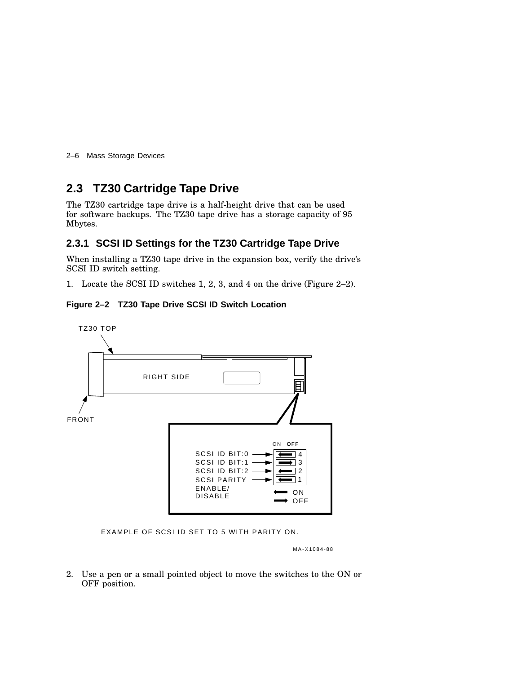2–6 Mass Storage Devices

## **2.3 TZ30 Cartridge Tape Drive**

The TZ30 cartridge tape drive is a half-height drive that can be used for software backups. The TZ30 tape drive has a storage capacity of 95 Mbytes.

#### **2.3.1 SCSI ID Settings for the TZ30 Cartridge Tape Drive**

When installing a TZ30 tape drive in the expansion box, verify the drive's SCSI ID switch setting.

1. Locate the SCSI ID switches 1, 2, 3, and 4 on the drive (Figure 2–2).

#### **Figure 2–2 TZ30 Tape Drive SCSI ID Switch Location**



EXAMPLE OF SCSI ID SET TO 5 WITH PARITY ON.

MA-X1084-88

2. Use a pen or a small pointed object to move the switches to the ON or OFF position.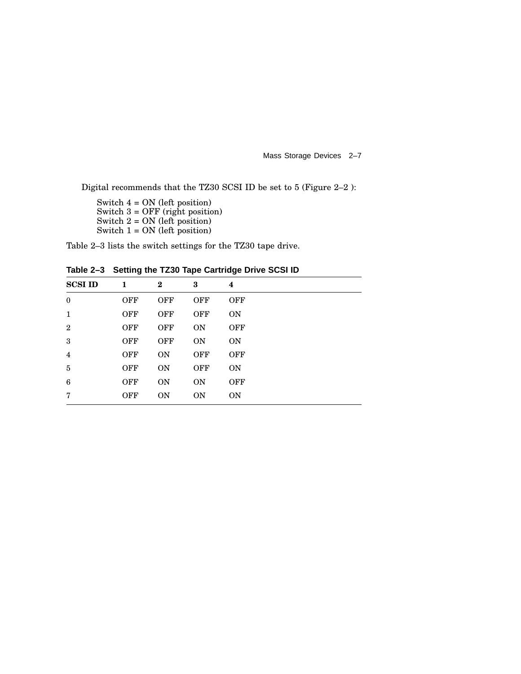Mass Storage Devices 2–7

Digital recommends that the TZ30 SCSI ID be set to 5 (Figure 2–2 ):

Switch 4 = ON (left position) Switch 3 = OFF (right position) Switch  $2 = ON$  (left position) Switch  $1 = ON$  (left position)

Table 2–3 lists the switch settings for the TZ30 tape drive.

| <b>SCSI ID</b> | 1          | $\bf{2}$   | 3          | 4          |
|----------------|------------|------------|------------|------------|
| $\mathbf{0}$   | <b>OFF</b> | <b>OFF</b> | <b>OFF</b> | <b>OFF</b> |
| $\mathbf{1}$   | <b>OFF</b> | <b>OFF</b> | <b>OFF</b> | <b>ON</b>  |
| $\mathbf{2}$   | <b>OFF</b> | <b>OFF</b> | <b>ON</b>  | <b>OFF</b> |
| 3              | <b>OFF</b> | <b>OFF</b> | <b>ON</b>  | <b>ON</b>  |
| $\overline{4}$ | <b>OFF</b> | <b>ON</b>  | <b>OFF</b> | <b>OFF</b> |
| 5              | <b>OFF</b> | <b>ON</b>  | <b>OFF</b> | <b>ON</b>  |
| 6              | <b>OFF</b> | <b>ON</b>  | <b>ON</b>  | <b>OFF</b> |
| 7              | <b>OFF</b> | <b>ON</b>  | <b>ON</b>  | <b>ON</b>  |
|                |            |            |            |            |

**Table 2–3 Setting the TZ30 Tape Cartridge Drive SCSI ID**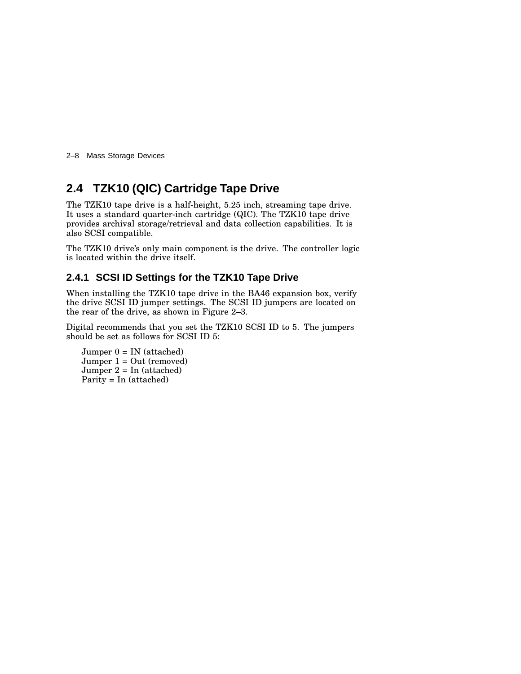2–8 Mass Storage Devices

## **2.4 TZK10 (QIC) Cartridge Tape Drive**

The TZK10 tape drive is a half-height, 5.25 inch, streaming tape drive. It uses a standard quarter-inch cartridge (QIC). The TZK10 tape drive provides archival storage/retrieval and data collection capabilities. It is also SCSI compatible.

The TZK10 drive's only main component is the drive. The controller logic is located within the drive itself.

#### **2.4.1 SCSI ID Settings for the TZK10 Tape Drive**

When installing the TZK10 tape drive in the BA46 expansion box, verify the drive SCSI ID jumper settings. The SCSI ID jumpers are located on the rear of the drive, as shown in Figure 2–3.

Digital recommends that you set the TZK10 SCSI ID to 5. The jumpers should be set as follows for SCSI ID 5:

 $J$ umper  $0 = IN$  (attached)  $J$ umper  $1 = Out$  (removed) Jumper  $2 = \text{In}$  (attached) Parity = In (attached)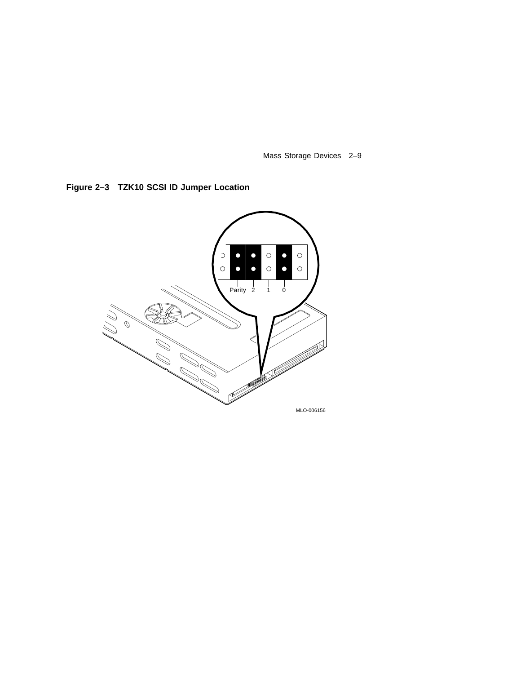Mass Storage Devices 2–9

**Figure 2–3 TZK10 SCSI ID Jumper Location**

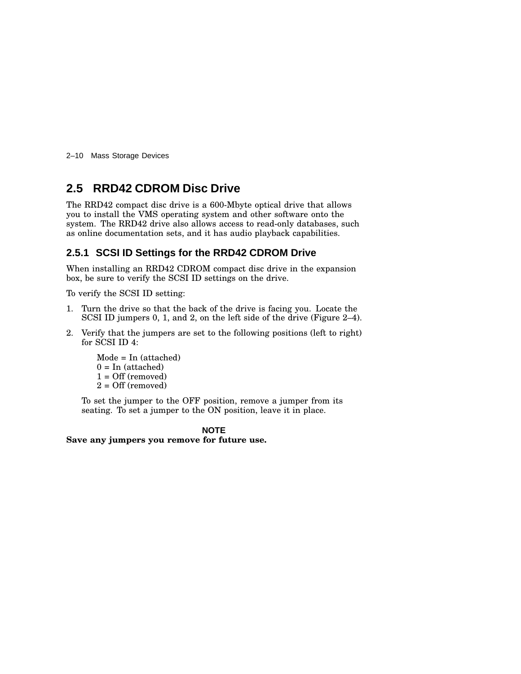2–10 Mass Storage Devices

## **2.5 RRD42 CDROM Disc Drive**

The RRD42 compact disc drive is a 600-Mbyte optical drive that allows you to install the VMS operating system and other software onto the system. The RRD42 drive also allows access to read-only databases, such as online documentation sets, and it has audio playback capabilities.

### **2.5.1 SCSI ID Settings for the RRD42 CDROM Drive**

When installing an RRD42 CDROM compact disc drive in the expansion box, be sure to verify the SCSI ID settings on the drive.

To verify the SCSI ID setting:

- 1. Turn the drive so that the back of the drive is facing you. Locate the SCSI ID jumpers 0, 1, and 2, on the left side of the drive (Figure 2–4).
- 2. Verify that the jumpers are set to the following positions (left to right) for SCSI ID 4:

Mode = In (attached)  $0 = \text{In}$  (attached)  $1 = \text{Off (removed)}$  $2 = \text{Off (removed)}$ 

To set the jumper to the OFF position, remove a jumper from its seating. To set a jumper to the ON position, leave it in place.

#### **NOTE**

**Save any jumpers you remove for future use.**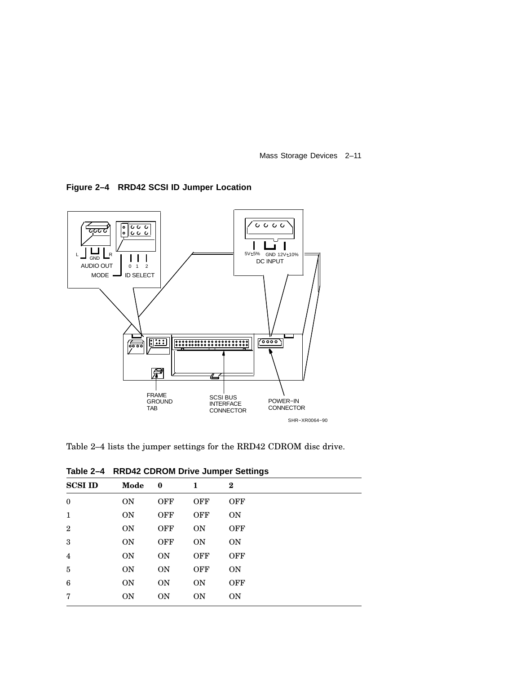Mass Storage Devices 2–11

**Figure 2–4 RRD42 SCSI ID Jumper Location**



Table 2–4 lists the jumper settings for the RRD42 CDROM disc drive.

| 10010E<br>- 7<br><b>AND THE ODING IN DITTLE URINGE OCCUPING</b> |                |            |            |            |  |
|-----------------------------------------------------------------|----------------|------------|------------|------------|--|
| <b>SCSI ID</b>                                                  | Mode           | $\bf{0}$   | 1          | $\bf{2}$   |  |
| $\boldsymbol{0}$                                                | <b>ON</b>      | <b>OFF</b> | <b>OFF</b> | <b>OFF</b> |  |
| $\mathbf{1}$                                                    | <b>ON</b>      | <b>OFF</b> | <b>OFF</b> | <b>ON</b>  |  |
| $\mathbf{2}$                                                    | <b>ON</b>      | <b>OFF</b> | <b>ON</b>  | <b>OFF</b> |  |
| 3                                                               | <b>ON</b>      | <b>OFF</b> | <b>ON</b>  | <b>ON</b>  |  |
| 4                                                               | <b>ON</b>      | <b>ON</b>  | <b>OFF</b> | <b>OFF</b> |  |
| 5                                                               | <b>ON</b>      | <b>ON</b>  | <b>OFF</b> | <b>ON</b>  |  |
| 6                                                               | <b>ON</b>      | <b>ON</b>  | <b>ON</b>  | <b>OFF</b> |  |
| 7                                                               | 0 <sub>N</sub> | <b>ON</b>  | <b>ON</b>  | <b>ON</b>  |  |

**Table 2–4 RRD42 CDROM Drive Jumper Settings**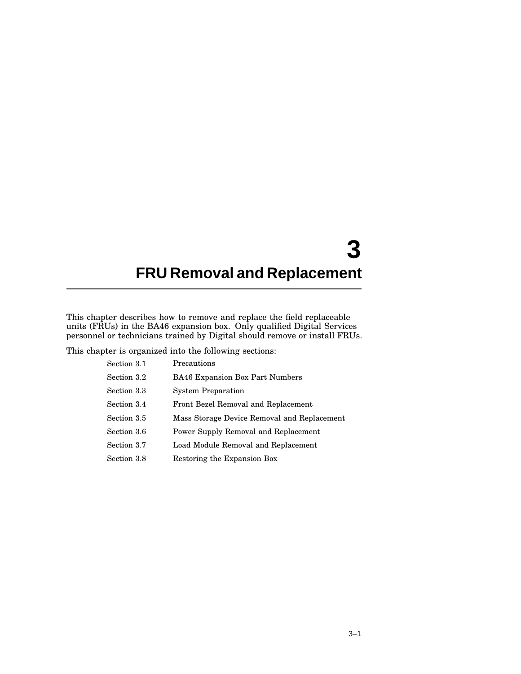# **3 FRU Removal and Replacement**

This chapter describes how to remove and replace the field replaceable units (FRUs) in the BA46 expansion box. Only qualified Digital Services personnel or technicians trained by Digital should remove or install FRUs.

This chapter is organized into the following sections:

| Section 3.1 | Precautions                                 |
|-------------|---------------------------------------------|
| Section 3.2 | <b>BA46 Expansion Box Part Numbers</b>      |
| Section 3.3 | <b>System Preparation</b>                   |
| Section 3.4 | Front Bezel Removal and Replacement         |
| Section 3.5 | Mass Storage Device Removal and Replacement |
| Section 3.6 | Power Supply Removal and Replacement        |
| Section 3.7 | Load Module Removal and Replacement         |
| Section 3.8 | Restoring the Expansion Box                 |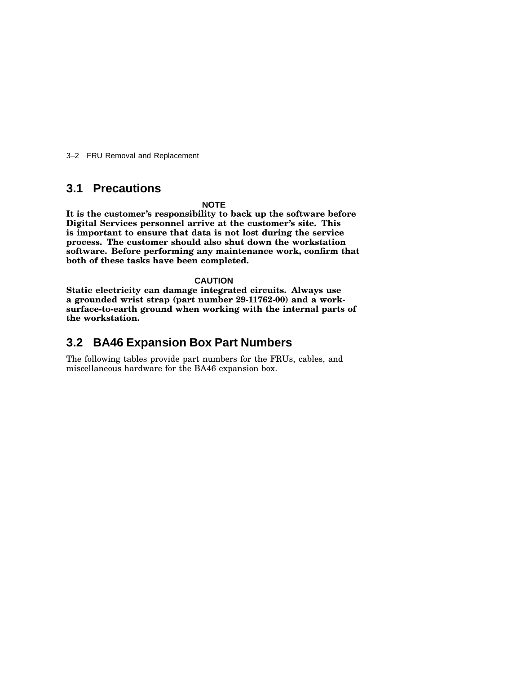3–2 FRU Removal and Replacement

## **3.1 Precautions**

#### **NOTE**

**It is the customer's responsibility to back up the software before Digital Services personnel arrive at the customer's site. This is important to ensure that data is not lost during the service process. The customer should also shut down the workstation software. Before performing any maintenance work, confirm that both of these tasks have been completed.**

#### **CAUTION**

**Static electricity can damage integrated circuits. Always use a grounded wrist strap (part number 29-11762-00) and a worksurface-to-earth ground when working with the internal parts of the workstation.**

## **3.2 BA46 Expansion Box Part Numbers**

The following tables provide part numbers for the FRUs, cables, and miscellaneous hardware for the BA46 expansion box.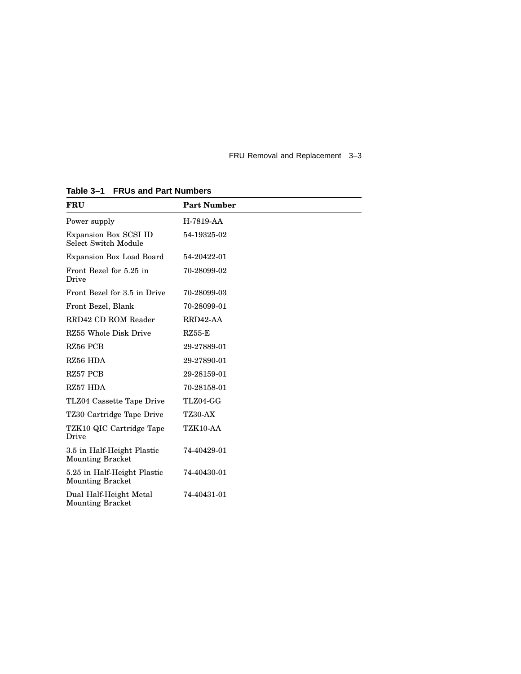FRU Removal and Replacement 3–3

| <b>FRU</b>                                             | <b>Part Number</b> |
|--------------------------------------------------------|--------------------|
| Power supply                                           | H-7819-AA          |
| Expansion Box SCSI ID<br>Select Switch Module          | 54-19325-02        |
| Expansion Box Load Board                               | 54-20422-01        |
| Front Bezel for 5.25 in<br>Drive                       | 70-28099-02        |
| Front Bezel for 3.5 in Drive                           | 70-28099-03        |
| Front Bezel, Blank                                     | 70-28099-01        |
| RRD42 CD ROM Reader                                    | RRD42-AA           |
| RZ55 Whole Disk Drive                                  | $RZ55-E$           |
| RZ56 PCB                                               | 29-27889-01        |
| RZ56 HDA                                               | 29-27890-01        |
| RZ57 PCB                                               | 29-28159-01        |
| RZ57 HDA                                               | 70-28158-01        |
| TLZ04 Cassette Tape Drive                              | TLZ04-GG           |
| TZ30 Cartridge Tape Drive                              | <b>TZ30-AX</b>     |
| TZK10 QIC Cartridge Tape<br>Drive                      | TZK10-AA           |
| 3.5 in Half-Height Plastic<br><b>Mounting Bracket</b>  | 74-40429-01        |
| 5.25 in Half-Height Plastic<br><b>Mounting Bracket</b> | 74-40430-01        |
| Dual Half-Height Metal<br><b>Mounting Bracket</b>      | 74-40431-01        |

**Table 3–1 FRUs and Part Numbers**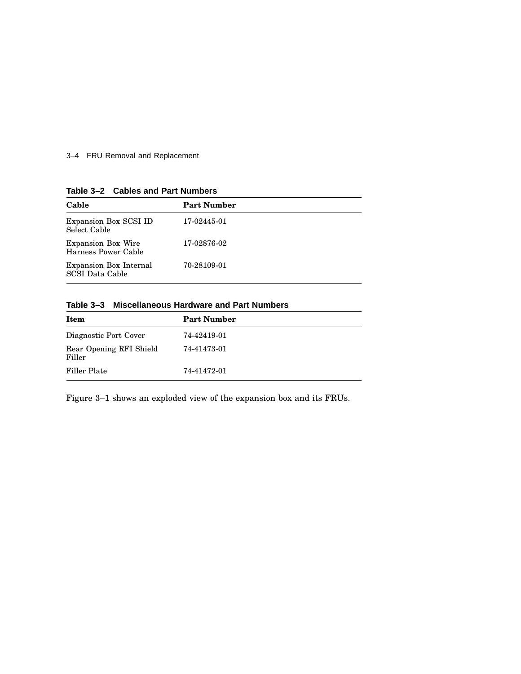### 3–4 FRU Removal and Replacement

|  | Table 3-2 Cables and Part Numbers |
|--|-----------------------------------|
|  |                                   |

| Cable                                            | <b>Part Number</b> |
|--------------------------------------------------|--------------------|
| Expansion Box SCSI ID<br>Select Cable            | 17-02445-01        |
| <b>Expansion Box Wire</b><br>Harness Power Cable | 17-02876-02        |
| Expansion Box Internal<br><b>SCSI</b> Data Cable | 70-28109-01        |

#### **Table 3–3 Miscellaneous Hardware and Part Numbers**

| Item                              | <b>Part Number</b> |
|-----------------------------------|--------------------|
| Diagnostic Port Cover             | 74-42419-01        |
| Rear Opening RFI Shield<br>Filler | 74-41473-01        |
| Filler Plate                      | 74-41472-01        |

Figure 3–1 shows an exploded view of the expansion box and its FRUs.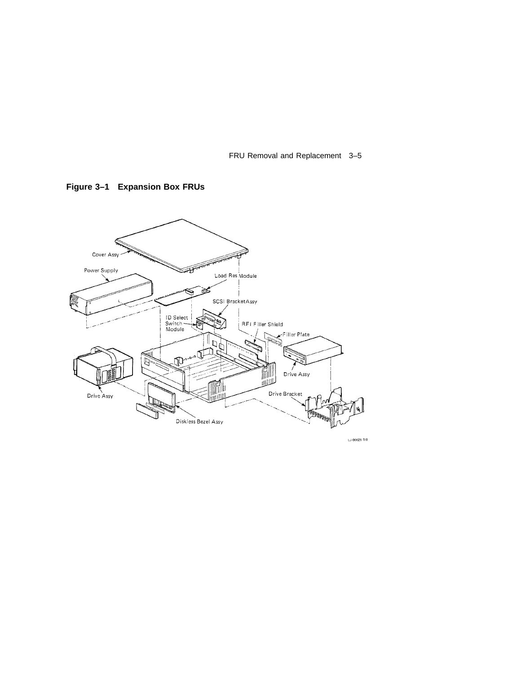FRU Removal and Replacement 3–5



**Figure 3–1 Expansion Box FRUs**

 $1,3.00621 - T10$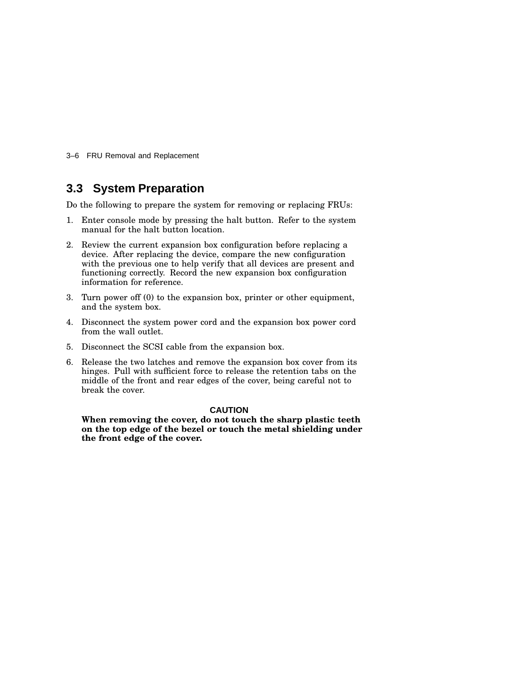3–6 FRU Removal and Replacement

## **3.3 System Preparation**

Do the following to prepare the system for removing or replacing FRUs:

- 1. Enter console mode by pressing the halt button. Refer to the system manual for the halt button location.
- 2. Review the current expansion box configuration before replacing a device. After replacing the device, compare the new configuration with the previous one to help verify that all devices are present and functioning correctly. Record the new expansion box configuration information for reference.
- 3. Turn power off (0) to the expansion box, printer or other equipment, and the system box.
- 4. Disconnect the system power cord and the expansion box power cord from the wall outlet.
- 5. Disconnect the SCSI cable from the expansion box.
- 6. Release the two latches and remove the expansion box cover from its hinges. Pull with sufficient force to release the retention tabs on the middle of the front and rear edges of the cover, being careful not to break the cover.

#### **CAUTION**

**When removing the cover, do not touch the sharp plastic teeth on the top edge of the bezel or touch the metal shielding under the front edge of the cover.**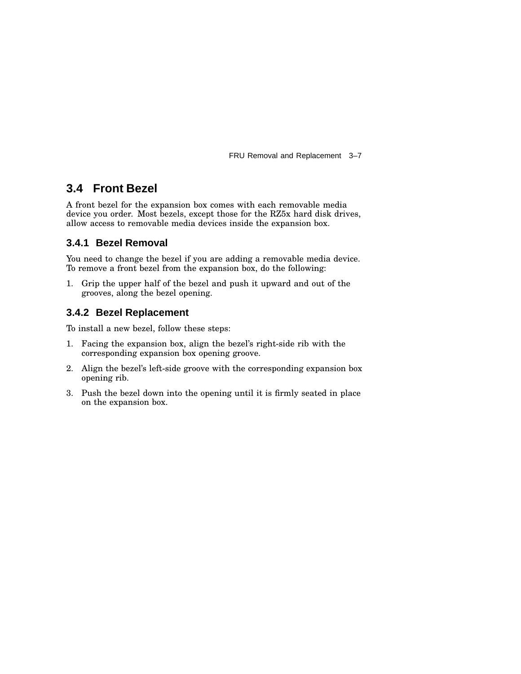FRU Removal and Replacement 3–7

## **3.4 Front Bezel**

A front bezel for the expansion box comes with each removable media device you order. Most bezels, except those for the RZ5x hard disk drives, allow access to removable media devices inside the expansion box.

## **3.4.1 Bezel Removal**

You need to change the bezel if you are adding a removable media device. To remove a front bezel from the expansion box, do the following:

1. Grip the upper half of the bezel and push it upward and out of the grooves, along the bezel opening.

## **3.4.2 Bezel Replacement**

To install a new bezel, follow these steps:

- 1. Facing the expansion box, align the bezel's right-side rib with the corresponding expansion box opening groove.
- 2. Align the bezel's left-side groove with the corresponding expansion box opening rib.
- 3. Push the bezel down into the opening until it is firmly seated in place on the expansion box.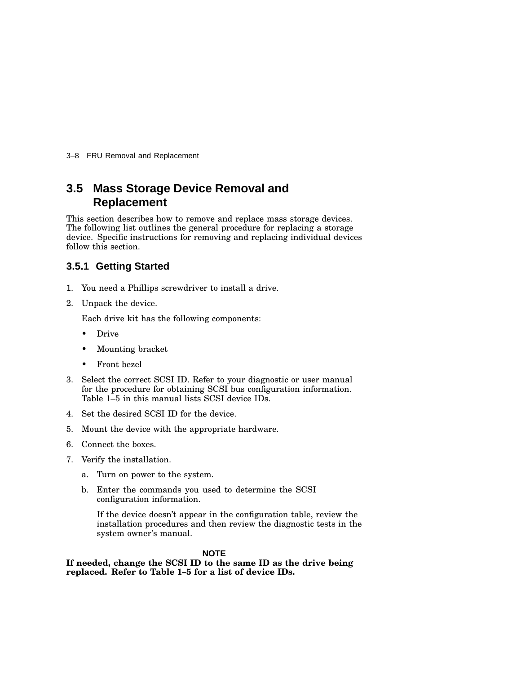3–8 FRU Removal and Replacement

## **3.5 Mass Storage Device Removal and Replacement**

This section describes how to remove and replace mass storage devices. The following list outlines the general procedure for replacing a storage device. Specific instructions for removing and replacing individual devices follow this section.

#### **3.5.1 Getting Started**

- 1. You need a Phillips screwdriver to install a drive.
- 2. Unpack the device.

Each drive kit has the following components:

- Drive
- Mounting bracket
- Front bezel
- 3. Select the correct SCSI ID. Refer to your diagnostic or user manual for the procedure for obtaining SCSI bus configuration information. Table 1–5 in this manual lists SCSI device IDs.
- 4. Set the desired SCSI ID for the device.
- 5. Mount the device with the appropriate hardware.
- 6. Connect the boxes.
- 7. Verify the installation.
	- a. Turn on power to the system.
	- b. Enter the commands you used to determine the SCSI configuration information.

If the device doesn't appear in the configuration table, review the installation procedures and then review the diagnostic tests in the system owner's manual.

#### **NOTE**

**If needed, change the SCSI ID to the same ID as the drive being replaced. Refer to Table 1–5 for a list of device IDs.**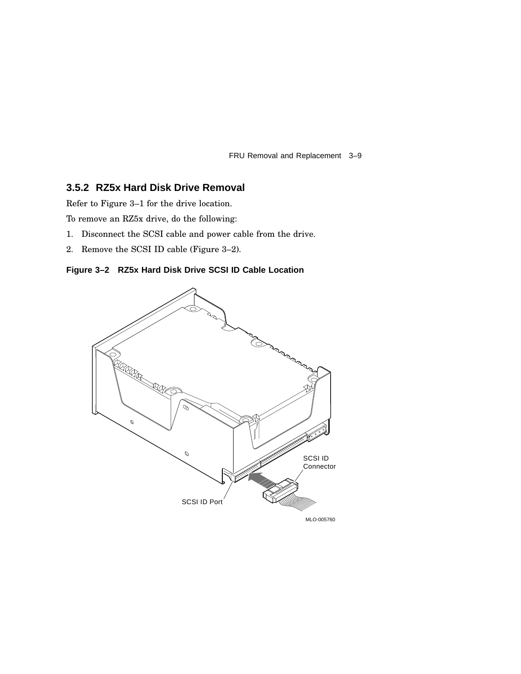FRU Removal and Replacement 3–9

#### **3.5.2 RZ5x Hard Disk Drive Removal**

Refer to Figure 3–1 for the drive location.

To remove an RZ5x drive, do the following:

- 1. Disconnect the SCSI cable and power cable from the drive.
- 2. Remove the SCSI ID cable (Figure 3–2).



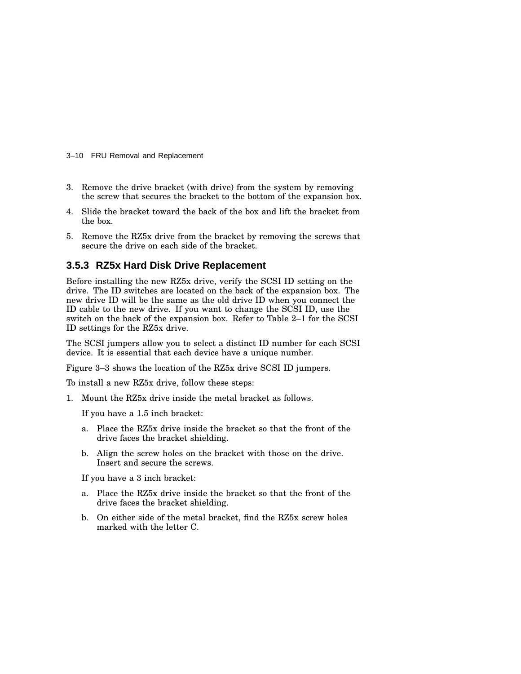- 3–10 FRU Removal and Replacement
- 3. Remove the drive bracket (with drive) from the system by removing the screw that secures the bracket to the bottom of the expansion box.
- 4. Slide the bracket toward the back of the box and lift the bracket from the box.
- 5. Remove the RZ5x drive from the bracket by removing the screws that secure the drive on each side of the bracket.

#### **3.5.3 RZ5x Hard Disk Drive Replacement**

Before installing the new RZ5x drive, verify the SCSI ID setting on the drive. The ID switches are located on the back of the expansion box. The new drive ID will be the same as the old drive ID when you connect the ID cable to the new drive. If you want to change the SCSI ID, use the switch on the back of the expansion box. Refer to Table 2–1 for the SCSI ID settings for the RZ5x drive.

The SCSI jumpers allow you to select a distinct ID number for each SCSI device. It is essential that each device have a unique number.

Figure 3–3 shows the location of the RZ5x drive SCSI ID jumpers.

To install a new RZ5x drive, follow these steps:

1. Mount the RZ5x drive inside the metal bracket as follows.

If you have a 1.5 inch bracket:

- a. Place the RZ5x drive inside the bracket so that the front of the drive faces the bracket shielding.
- b. Align the screw holes on the bracket with those on the drive. Insert and secure the screws.

If you have a 3 inch bracket:

- a. Place the RZ5x drive inside the bracket so that the front of the drive faces the bracket shielding.
- b. On either side of the metal bracket, find the RZ5x screw holes marked with the letter C.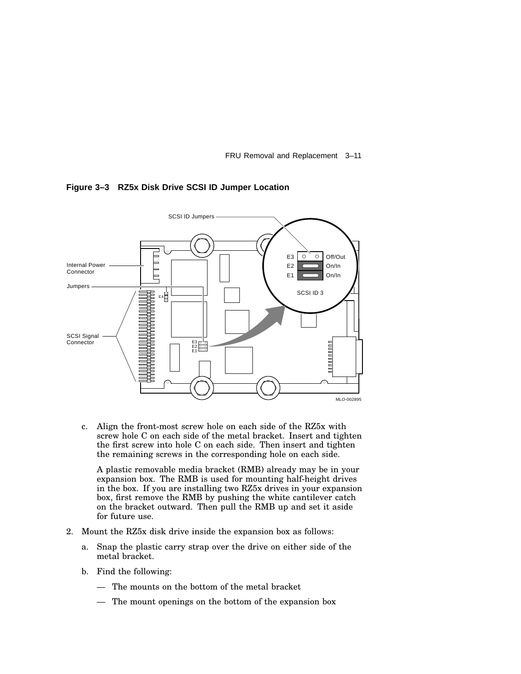FRU Removal and Replacement 3–11



**Figure 3–3 RZ5x Disk Drive SCSI ID Jumper Location**

c. Align the front-most screw hole on each side of the RZ5x with screw hole C on each side of the metal bracket. Insert and tighten the first screw into hole C on each side. Then insert and tighten the remaining screws in the corresponding hole on each side.

A plastic removable media bracket (RMB) already may be in your expansion box. The RMB is used for mounting half-height drives in the box. If you are installing two RZ5x drives in your expansion box, first remove the RMB by pushing the white cantilever catch on the bracket outward. Then pull the RMB up and set it aside for future use.

- 2. Mount the RZ5x disk drive inside the expansion box as follows:
	- a. Snap the plastic carry strap over the drive on either side of the metal bracket.
	- b. Find the following:
		- The mounts on the bottom of the metal bracket
		- The mount openings on the bottom of the expansion box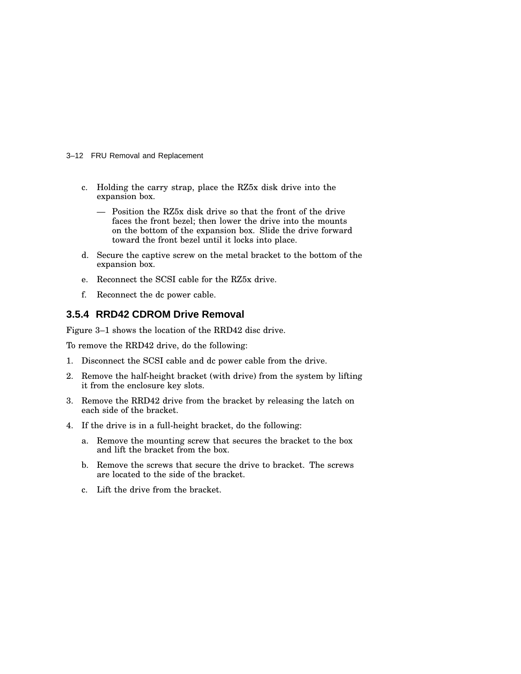3–12 FRU Removal and Replacement

- c. Holding the carry strap, place the RZ5x disk drive into the expansion box.
	- Position the RZ5x disk drive so that the front of the drive faces the front bezel; then lower the drive into the mounts on the bottom of the expansion box. Slide the drive forward toward the front bezel until it locks into place.
- d. Secure the captive screw on the metal bracket to the bottom of the expansion box.
- e. Reconnect the SCSI cable for the RZ5x drive.
- f. Reconnect the dc power cable.

#### **3.5.4 RRD42 CDROM Drive Removal**

Figure 3–1 shows the location of the RRD42 disc drive.

To remove the RRD42 drive, do the following:

- 1. Disconnect the SCSI cable and dc power cable from the drive.
- 2. Remove the half-height bracket (with drive) from the system by lifting it from the enclosure key slots.
- 3. Remove the RRD42 drive from the bracket by releasing the latch on each side of the bracket.
- 4. If the drive is in a full-height bracket, do the following:
	- a. Remove the mounting screw that secures the bracket to the box and lift the bracket from the box.
	- b. Remove the screws that secure the drive to bracket. The screws are located to the side of the bracket.
	- c. Lift the drive from the bracket.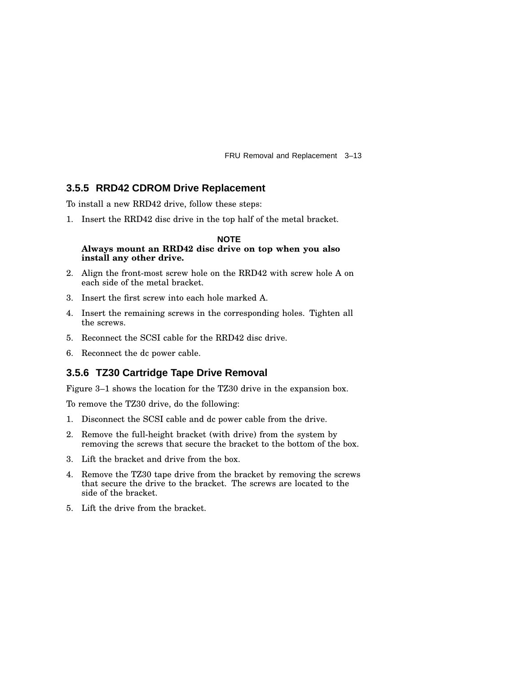FRU Removal and Replacement 3–13

#### **3.5.5 RRD42 CDROM Drive Replacement**

To install a new RRD42 drive, follow these steps:

1. Insert the RRD42 disc drive in the top half of the metal bracket.

#### **NOTE Always mount an RRD42 disc drive on top when you also install any other drive.**

- 2. Align the front-most screw hole on the RRD42 with screw hole A on each side of the metal bracket.
- 3. Insert the first screw into each hole marked A.
- 4. Insert the remaining screws in the corresponding holes. Tighten all the screws.
- 5. Reconnect the SCSI cable for the RRD42 disc drive.
- 6. Reconnect the dc power cable.

#### **3.5.6 TZ30 Cartridge Tape Drive Removal**

Figure 3–1 shows the location for the TZ30 drive in the expansion box.

To remove the TZ30 drive, do the following:

- 1. Disconnect the SCSI cable and dc power cable from the drive.
- 2. Remove the full-height bracket (with drive) from the system by removing the screws that secure the bracket to the bottom of the box.
- 3. Lift the bracket and drive from the box.
- 4. Remove the TZ30 tape drive from the bracket by removing the screws that secure the drive to the bracket. The screws are located to the side of the bracket.
- 5. Lift the drive from the bracket.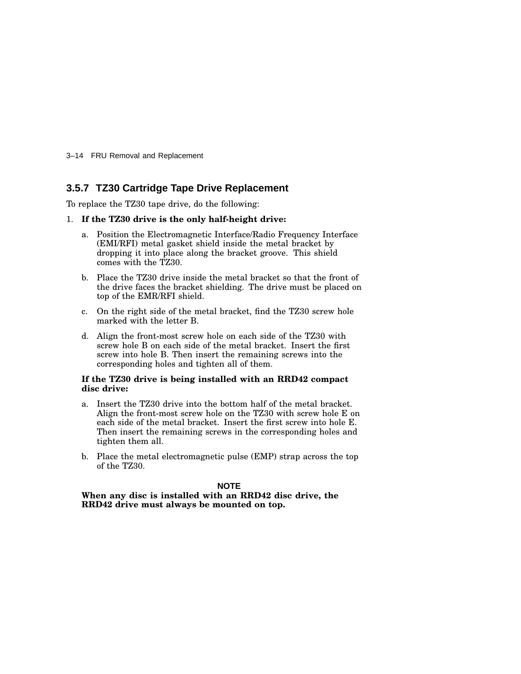3–14 FRU Removal and Replacement

#### **3.5.7 TZ30 Cartridge Tape Drive Replacement**

To replace the TZ30 tape drive, do the following:

#### 1. **If the TZ30 drive is the only half-height drive:**

- a. Position the Electromagnetic Interface/Radio Frequency Interface (EMI/RFI) metal gasket shield inside the metal bracket by dropping it into place along the bracket groove. This shield comes with the TZ30.
- b. Place the TZ30 drive inside the metal bracket so that the front of the drive faces the bracket shielding. The drive must be placed on top of the EMR/RFI shield.
- c. On the right side of the metal bracket, find the TZ30 screw hole marked with the letter B.
- d. Align the front-most screw hole on each side of the TZ30 with screw hole B on each side of the metal bracket. Insert the first screw into hole B. Then insert the remaining screws into the corresponding holes and tighten all of them.

#### **If the TZ30 drive is being installed with an RRD42 compact disc drive:**

- a. Insert the TZ30 drive into the bottom half of the metal bracket. Align the front-most screw hole on the TZ30 with screw hole E on each side of the metal bracket. Insert the first screw into hole E. Then insert the remaining screws in the corresponding holes and tighten them all.
- b. Place the metal electromagnetic pulse (EMP) strap across the top of the TZ30.

#### **NOTE**

**When any disc is installed with an RRD42 disc drive, the RRD42 drive must always be mounted on top.**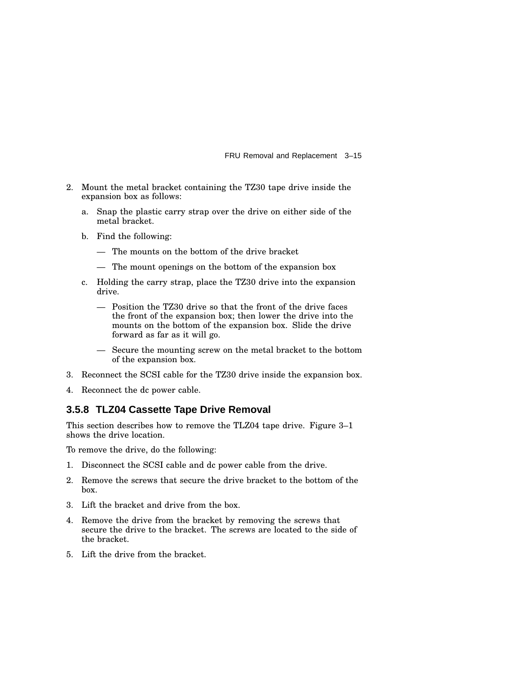FRU Removal and Replacement 3–15

- 2. Mount the metal bracket containing the TZ30 tape drive inside the expansion box as follows:
	- a. Snap the plastic carry strap over the drive on either side of the metal bracket.
	- b. Find the following:
		- The mounts on the bottom of the drive bracket
		- The mount openings on the bottom of the expansion box
	- c. Holding the carry strap, place the TZ30 drive into the expansion drive.
		- Position the TZ30 drive so that the front of the drive faces the front of the expansion box; then lower the drive into the mounts on the bottom of the expansion box. Slide the drive forward as far as it will go.
		- Secure the mounting screw on the metal bracket to the bottom of the expansion box.
- 3. Reconnect the SCSI cable for the TZ30 drive inside the expansion box.
- 4. Reconnect the dc power cable.

#### **3.5.8 TLZ04 Cassette Tape Drive Removal**

This section describes how to remove the TLZ04 tape drive. Figure 3–1 shows the drive location.

To remove the drive, do the following:

- 1. Disconnect the SCSI cable and dc power cable from the drive.
- 2. Remove the screws that secure the drive bracket to the bottom of the box.
- 3. Lift the bracket and drive from the box.
- 4. Remove the drive from the bracket by removing the screws that secure the drive to the bracket. The screws are located to the side of the bracket.
- 5. Lift the drive from the bracket.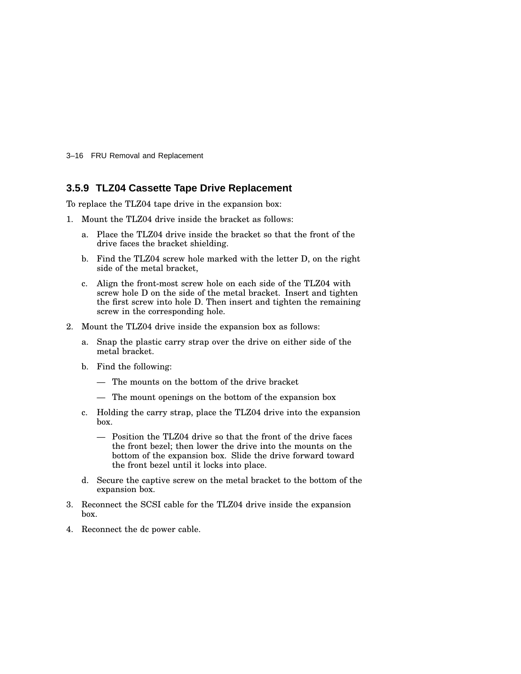3–16 FRU Removal and Replacement

#### **3.5.9 TLZ04 Cassette Tape Drive Replacement**

To replace the TLZ04 tape drive in the expansion box:

- 1. Mount the TLZ04 drive inside the bracket as follows:
	- a. Place the TLZ04 drive inside the bracket so that the front of the drive faces the bracket shielding.
	- b. Find the TLZ04 screw hole marked with the letter D, on the right side of the metal bracket,
	- c. Align the front-most screw hole on each side of the TLZ04 with screw hole D on the side of the metal bracket. Insert and tighten the first screw into hole D. Then insert and tighten the remaining screw in the corresponding hole.
- 2. Mount the TLZ04 drive inside the expansion box as follows:
	- a. Snap the plastic carry strap over the drive on either side of the metal bracket.
	- b. Find the following:
		- The mounts on the bottom of the drive bracket
		- The mount openings on the bottom of the expansion box
	- c. Holding the carry strap, place the TLZ04 drive into the expansion box.
		- Position the TLZ04 drive so that the front of the drive faces the front bezel; then lower the drive into the mounts on the bottom of the expansion box. Slide the drive forward toward the front bezel until it locks into place.
	- d. Secure the captive screw on the metal bracket to the bottom of the expansion box.
- 3. Reconnect the SCSI cable for the TLZ04 drive inside the expansion box.
- 4. Reconnect the dc power cable.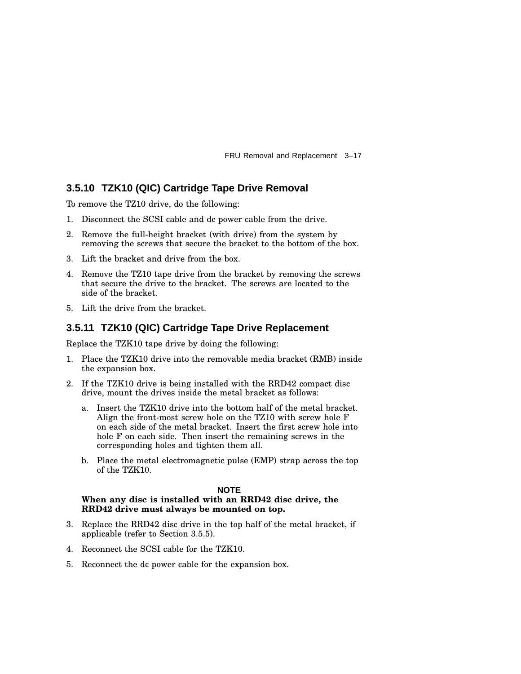FRU Removal and Replacement 3–17

#### **3.5.10 TZK10 (QIC) Cartridge Tape Drive Removal**

To remove the TZ10 drive, do the following:

- 1. Disconnect the SCSI cable and dc power cable from the drive.
- 2. Remove the full-height bracket (with drive) from the system by removing the screws that secure the bracket to the bottom of the box.
- 3. Lift the bracket and drive from the box.
- 4. Remove the TZ10 tape drive from the bracket by removing the screws that secure the drive to the bracket. The screws are located to the side of the bracket.
- 5. Lift the drive from the bracket.

#### **3.5.11 TZK10 (QIC) Cartridge Tape Drive Replacement**

Replace the TZK10 tape drive by doing the following:

- 1. Place the TZK10 drive into the removable media bracket (RMB) inside the expansion box.
- 2. If the TZK10 drive is being installed with the RRD42 compact disc drive, mount the drives inside the metal bracket as follows:
	- a. Insert the TZK10 drive into the bottom half of the metal bracket. Align the front-most screw hole on the TZ10 with screw hole F on each side of the metal bracket. Insert the first screw hole into hole F on each side. Then insert the remaining screws in the corresponding holes and tighten them all.
	- b. Place the metal electromagnetic pulse (EMP) strap across the top of the TZK10.

#### **NOTE**

#### **When any disc is installed with an RRD42 disc drive, the RRD42 drive must always be mounted on top.**

- 3. Replace the RRD42 disc drive in the top half of the metal bracket, if applicable (refer to Section 3.5.5).
- 4. Reconnect the SCSI cable for the TZK10.
- 5. Reconnect the dc power cable for the expansion box.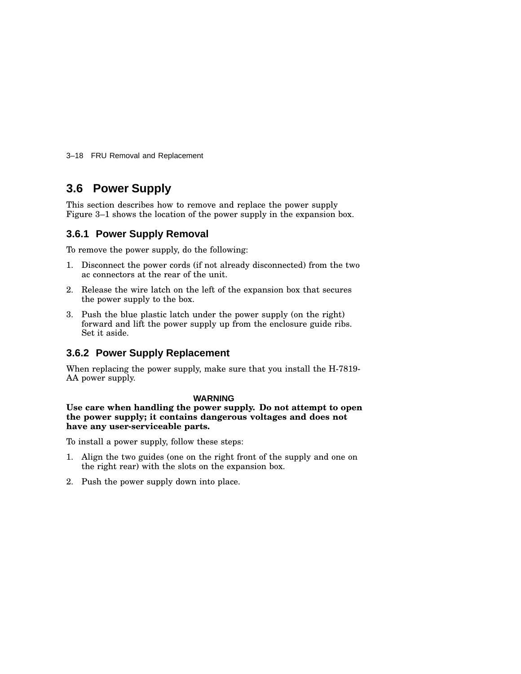3–18 FRU Removal and Replacement

## **3.6 Power Supply**

This section describes how to remove and replace the power supply Figure 3–1 shows the location of the power supply in the expansion box.

#### **3.6.1 Power Supply Removal**

To remove the power supply, do the following:

- 1. Disconnect the power cords (if not already disconnected) from the two ac connectors at the rear of the unit.
- 2. Release the wire latch on the left of the expansion box that secures the power supply to the box.
- 3. Push the blue plastic latch under the power supply (on the right) forward and lift the power supply up from the enclosure guide ribs. Set it aside.

#### **3.6.2 Power Supply Replacement**

When replacing the power supply, make sure that you install the H-7819- AA power supply.

#### **WARNING**

**Use care when handling the power supply. Do not attempt to open the power supply; it contains dangerous voltages and does not have any user-serviceable parts.**

To install a power supply, follow these steps:

- 1. Align the two guides (one on the right front of the supply and one on the right rear) with the slots on the expansion box.
- 2. Push the power supply down into place.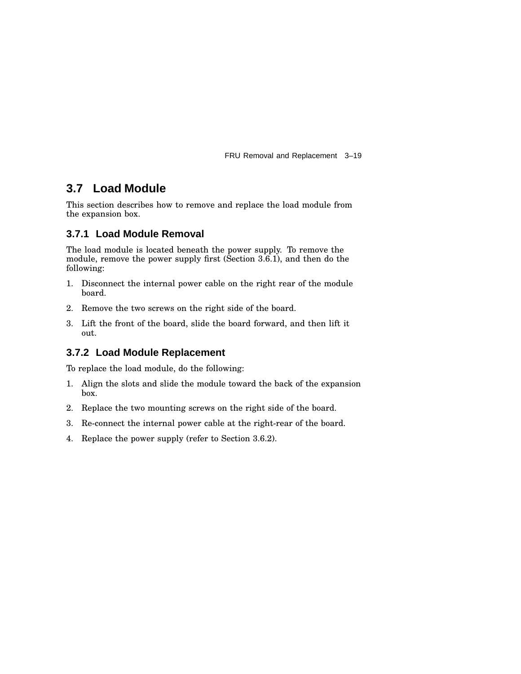FRU Removal and Replacement 3–19

## **3.7 Load Module**

This section describes how to remove and replace the load module from the expansion box.

## **3.7.1 Load Module Removal**

The load module is located beneath the power supply. To remove the module, remove the power supply first (Section 3.6.1), and then do the following:

- 1. Disconnect the internal power cable on the right rear of the module board.
- 2. Remove the two screws on the right side of the board.
- 3. Lift the front of the board, slide the board forward, and then lift it out.

## **3.7.2 Load Module Replacement**

To replace the load module, do the following:

- 1. Align the slots and slide the module toward the back of the expansion box.
- 2. Replace the two mounting screws on the right side of the board.
- 3. Re-connect the internal power cable at the right-rear of the board.
- 4. Replace the power supply (refer to Section 3.6.2).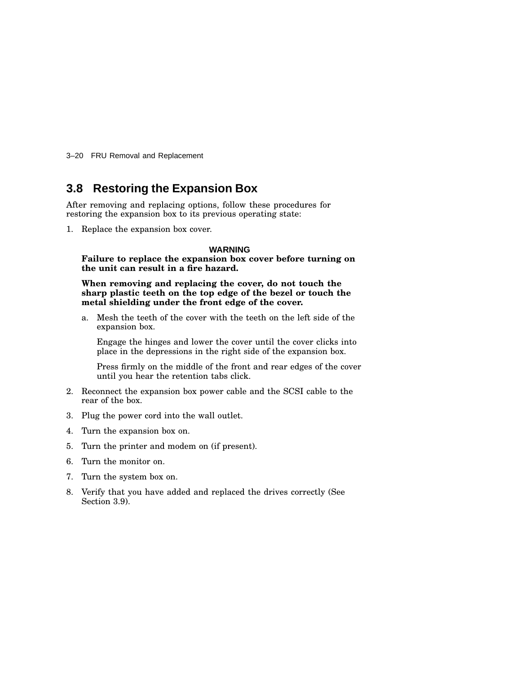3–20 FRU Removal and Replacement

## **3.8 Restoring the Expansion Box**

After removing and replacing options, follow these procedures for restoring the expansion box to its previous operating state:

1. Replace the expansion box cover.

#### **WARNING**

**Failure to replace the expansion box cover before turning on the unit can result in a fire hazard.**

**When removing and replacing the cover, do not touch the sharp plastic teeth on the top edge of the bezel or touch the metal shielding under the front edge of the cover.**

a. Mesh the teeth of the cover with the teeth on the left side of the expansion box.

Engage the hinges and lower the cover until the cover clicks into place in the depressions in the right side of the expansion box.

Press firmly on the middle of the front and rear edges of the cover until you hear the retention tabs click.

- 2. Reconnect the expansion box power cable and the SCSI cable to the rear of the box.
- 3. Plug the power cord into the wall outlet.
- 4. Turn the expansion box on.
- 5. Turn the printer and modem on (if present).
- 6. Turn the monitor on.
- 7. Turn the system box on.
- 8. Verify that you have added and replaced the drives correctly (See Section 3.9).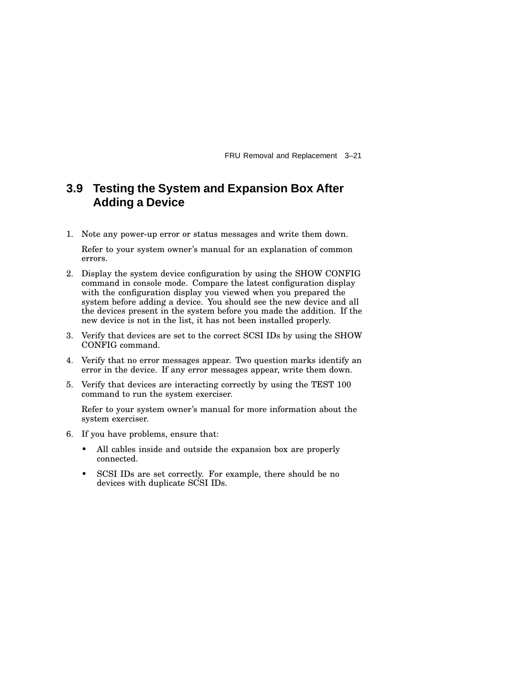FRU Removal and Replacement 3–21

## **3.9 Testing the System and Expansion Box After Adding a Device**

1. Note any power-up error or status messages and write them down.

Refer to your system owner's manual for an explanation of common errors.

- 2. Display the system device configuration by using the SHOW CONFIG command in console mode. Compare the latest configuration display with the configuration display you viewed when you prepared the system before adding a device. You should see the new device and all the devices present in the system before you made the addition. If the new device is not in the list, it has not been installed properly.
- 3. Verify that devices are set to the correct SCSI IDs by using the SHOW CONFIG command.
- 4. Verify that no error messages appear. Two question marks identify an error in the device. If any error messages appear, write them down.
- 5. Verify that devices are interacting correctly by using the TEST 100 command to run the system exerciser.

Refer to your system owner's manual for more information about the system exerciser.

- 6. If you have problems, ensure that:
	- All cables inside and outside the expansion box are properly connected.
	- SCSI IDs are set correctly. For example, there should be no devices with duplicate SCSI IDs.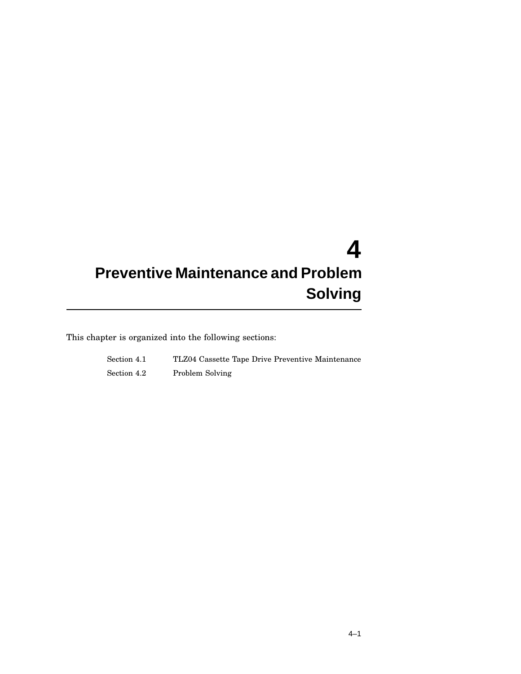# **4 Preventive Maintenance and Problem Solving**

This chapter is organized into the following sections:

| Section 4.1 | TLZ04 Cassette Tape Drive Preventive Maintenance |
|-------------|--------------------------------------------------|
| Section 4.2 | Problem Solving                                  |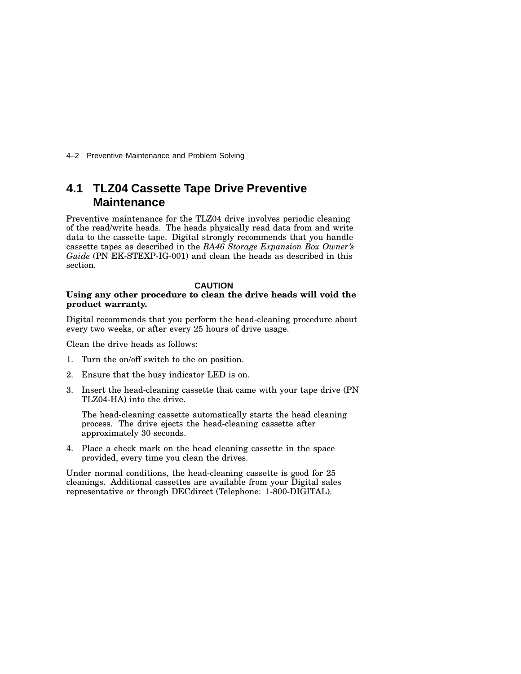4–2 Preventive Maintenance and Problem Solving

## **4.1 TLZ04 Cassette Tape Drive Preventive Maintenance**

Preventive maintenance for the TLZ04 drive involves periodic cleaning of the read/write heads. The heads physically read data from and write data to the cassette tape. Digital strongly recommends that you handle cassette tapes as described in the *BA46 Storage Expansion Box Owner's Guide* (PN EK-STEXP-IG-001) and clean the heads as described in this section.

#### **CAUTION**

#### **Using any other procedure to clean the drive heads will void the product warranty.**

Digital recommends that you perform the head-cleaning procedure about every two weeks, or after every 25 hours of drive usage.

Clean the drive heads as follows:

- 1. Turn the on/off switch to the on position.
- 2. Ensure that the busy indicator LED is on.
- 3. Insert the head-cleaning cassette that came with your tape drive (PN TLZ04-HA) into the drive.

The head-cleaning cassette automatically starts the head cleaning process. The drive ejects the head-cleaning cassette after approximately 30 seconds.

4. Place a check mark on the head cleaning cassette in the space provided, every time you clean the drives.

Under normal conditions, the head-cleaning cassette is good for 25 cleanings. Additional cassettes are available from your Digital sales representative or through DECdirect (Telephone: 1-800-DIGITAL).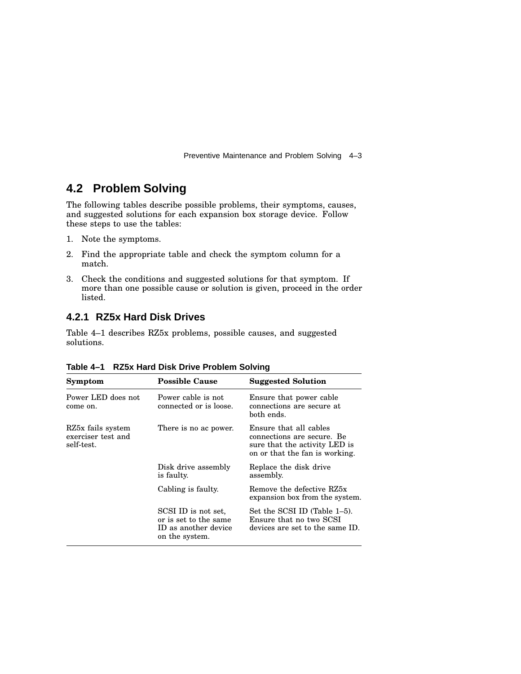Preventive Maintenance and Problem Solving 4–3

## **4.2 Problem Solving**

The following tables describe possible problems, their symptoms, causes, and suggested solutions for each expansion box storage device. Follow these steps to use the tables:

- 1. Note the symptoms.
- 2. Find the appropriate table and check the symptom column for a match.
- 3. Check the conditions and suggested solutions for that symptom. If more than one possible cause or solution is given, proceed in the order listed.

#### **4.2.1 RZ5x Hard Disk Drives**

Table 4–1 describes RZ5x problems, possible causes, and suggested solutions.

| Symptom                                               | <b>Possible Cause</b>                                                                  | <b>Suggested Solution</b>                                                                                               |
|-------------------------------------------------------|----------------------------------------------------------------------------------------|-------------------------------------------------------------------------------------------------------------------------|
| Power LED does not<br>come on.                        | Power cable is not<br>connected or is loose.                                           | Ensure that power cable<br>connections are secure at<br>both ends.                                                      |
| RZ5x fails system<br>exerciser test and<br>self-test. | There is no ac power.                                                                  | Ensure that all cables<br>connections are secure. Be<br>sure that the activity LED is<br>on or that the fan is working. |
|                                                       | Disk drive assembly<br>is faulty.                                                      | Replace the disk drive<br>assembly.                                                                                     |
|                                                       | Cabling is faulty.                                                                     | Remove the defective RZ5x<br>expansion box from the system.                                                             |
|                                                       | SCSI ID is not set.<br>or is set to the same<br>ID as another device<br>on the system. | Set the SCSI ID (Table 1–5).<br>Ensure that no two SCSI<br>devices are set to the same ID.                              |

| Table 4-1 RZ5x Hard Disk Drive Problem Solving |
|------------------------------------------------|
|------------------------------------------------|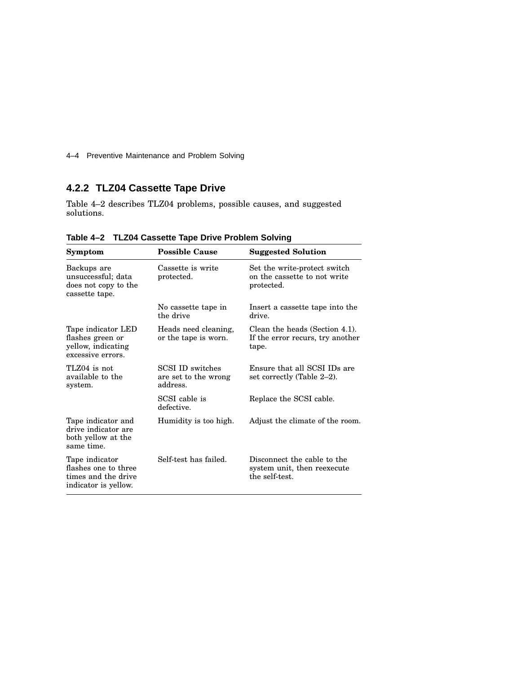4–4 Preventive Maintenance and Problem Solving

## **4.2.2 TLZ04 Cassette Tape Drive**

Table 4–2 describes TLZ04 problems, possible causes, and suggested solutions.

| Symptom                                                                               | <b>Possible Cause</b>                                       | <b>Suggested Solution</b>                                                    |
|---------------------------------------------------------------------------------------|-------------------------------------------------------------|------------------------------------------------------------------------------|
| Backups are<br>unsuccessful; data<br>does not copy to the<br>cassette tape.           | Cassette is write<br>protected.                             | Set the write-protect switch<br>on the cassette to not write<br>protected.   |
|                                                                                       | No cassette tape in<br>the drive                            | Insert a cassette tape into the<br>drive.                                    |
| Tape indicator LED<br>flashes green or<br>yellow, indicating<br>excessive errors.     | Heads need cleaning,<br>or the tape is worn.                | Clean the heads (Section 4.1).<br>If the error recurs, try another<br>tape.  |
| TLZ04 is not<br>available to the<br>system.                                           | <b>SCSI ID switches</b><br>are set to the wrong<br>address. | Ensure that all SCSI IDs are<br>set correctly (Table 2-2).                   |
|                                                                                       | SCSI cable is<br>defective.                                 | Replace the SCSI cable.                                                      |
| Tape indicator and<br>drive indicator are<br>both yellow at the<br>same time.         | Humidity is too high.                                       | Adjust the climate of the room.                                              |
| Tape indicator<br>flashes one to three<br>times and the drive<br>indicator is yellow. | Self-test has failed.                                       | Disconnect the cable to the<br>system unit, then reexecute<br>the self-test. |

**Table 4–2 TLZ04 Cassette Tape Drive Problem Solving**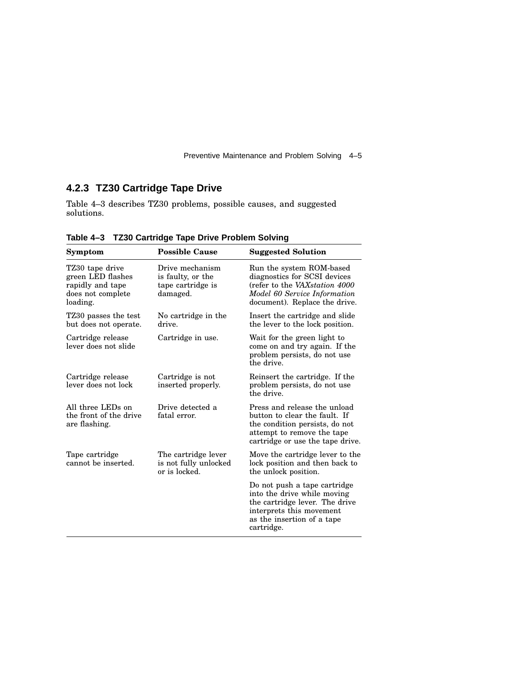Preventive Maintenance and Problem Solving 4–5

## **4.2.3 TZ30 Cartridge Tape Drive**

Table 4–3 describes TZ30 problems, possible causes, and suggested solutions.

| <b>Symptom</b>                                                                            | <b>Possible Cause</b>                                                 | <b>Suggested Solution</b>                                                                                                                                             |
|-------------------------------------------------------------------------------------------|-----------------------------------------------------------------------|-----------------------------------------------------------------------------------------------------------------------------------------------------------------------|
| TZ30 tape drive<br>green LED flashes<br>rapidly and tape<br>does not complete<br>loading. | Drive mechanism<br>is faulty, or the<br>tape cartridge is<br>damaged. | Run the system ROM-based<br>diagnostics for SCSI devices<br>(refer to the VAXstation 4000)<br>Model 60 Service Information<br>document). Replace the drive.           |
| TZ30 passes the test<br>but does not operate.                                             | No cartridge in the<br>drive.                                         | Insert the cartridge and slide<br>the lever to the lock position.                                                                                                     |
| Cartridge in use.<br>Cartridge release<br>lever does not slide<br>the drive.              |                                                                       | Wait for the green light to<br>come on and try again. If the<br>problem persists, do not use                                                                          |
| Cartridge release<br>lever does not lock                                                  | Cartridge is not<br>inserted properly.                                | Reinsert the cartridge. If the<br>problem persists, do not use<br>the drive.                                                                                          |
| All three LEDs on<br>the front of the drive<br>are flashing.                              | Drive detected a<br>fatal error.                                      | Press and release the unload<br>button to clear the fault. If<br>the condition persists, do not<br>attempt to remove the tape<br>cartridge or use the tape drive.     |
| Tape cartridge<br>cannot be inserted.                                                     | The cartridge lever<br>is not fully unlocked<br>or is locked.         | Move the cartridge lever to the<br>lock position and then back to<br>the unlock position.                                                                             |
|                                                                                           |                                                                       | Do not push a tape cartridge<br>into the drive while moving<br>the cartridge lever. The drive<br>interprets this movement<br>as the insertion of a tape<br>cartridge. |

**Table 4–3 TZ30 Cartridge Tape Drive Problem Solving**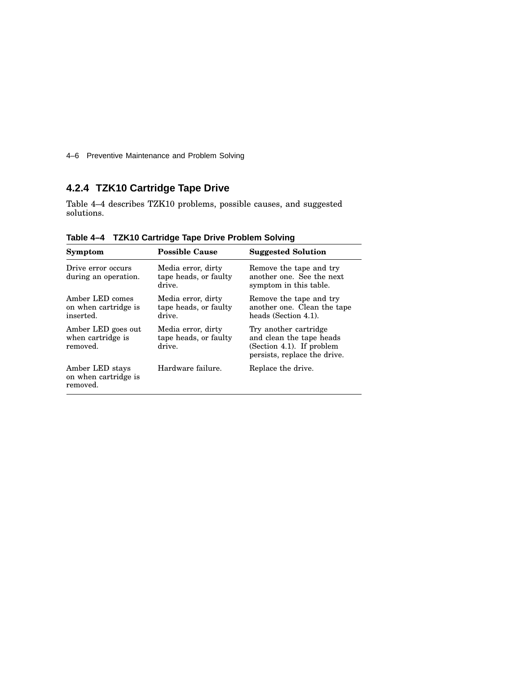4–6 Preventive Maintenance and Problem Solving

## **4.2.4 TZK10 Cartridge Tape Drive**

Table 4–4 describes TZK10 problems, possible causes, and suggested solutions.

| Symptom                                              | <b>Possible Cause</b>                                 | <b>Suggested Solution</b>                                                                                      |
|------------------------------------------------------|-------------------------------------------------------|----------------------------------------------------------------------------------------------------------------|
| Drive error occurs<br>during an operation.           | Media error, dirty<br>tape heads, or faulty<br>drive. | Remove the tape and try<br>another one. See the next<br>symptom in this table.                                 |
| Amber LED comes<br>on when cartridge is<br>inserted. | Media error, dirty<br>tape heads, or faulty<br>drive. | Remove the tape and try<br>another one. Clean the tape<br>heads (Section 4.1).                                 |
| Amber LED goes out<br>when cartridge is<br>removed.  | Media error, dirty<br>tape heads, or faulty<br>drive. | Try another cartridge<br>and clean the tape heads<br>(Section 4.1). If problem<br>persists, replace the drive. |
| Amber LED stays<br>on when cartridge is<br>removed.  | Hardware failure.                                     | Replace the drive.                                                                                             |

**Table 4–4 TZK10 Cartridge Tape Drive Problem Solving**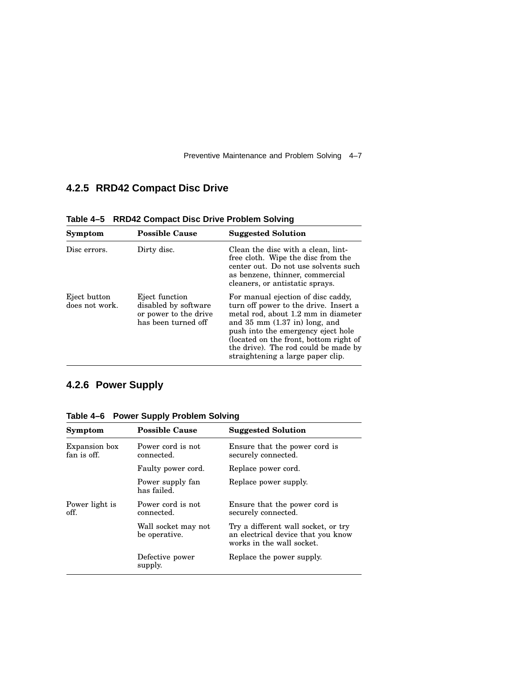Preventive Maintenance and Problem Solving 4–7

## **4.2.5 RRD42 Compact Disc Drive**

| Symptom                        | <b>Possible Cause</b>                                                                  | <b>Suggested Solution</b>                                                                                                                                                                                                                                                                                            |
|--------------------------------|----------------------------------------------------------------------------------------|----------------------------------------------------------------------------------------------------------------------------------------------------------------------------------------------------------------------------------------------------------------------------------------------------------------------|
| Disc errors.                   | Dirty disc.                                                                            | Clean the disc with a clean, lint-<br>free cloth. Wipe the disc from the<br>center out. Do not use solvents such<br>as benzene, thinner, commercial<br>cleaners, or antistatic sprays.                                                                                                                               |
| Eject button<br>does not work. | Eject function<br>disabled by software<br>or power to the drive<br>has been turned off | For manual ejection of disc caddy,<br>turn off power to the drive. Insert a<br>metal rod, about 1.2 mm in diameter<br>and $35$ mm $(1.37$ in) long, and<br>push into the emergency eject hole<br>(located on the front, bottom right of<br>the drive). The rod could be made by<br>straightening a large paper clip. |

**Table 4–5 RRD42 Compact Disc Drive Problem Solving**

## **4.2.6 Power Supply**

|  | Table 4-6 Power Supply Problem Solving |  |  |  |  |
|--|----------------------------------------|--|--|--|--|
|--|----------------------------------------|--|--|--|--|

| Symptom                      | <b>Possible Cause</b>                | <b>Suggested Solution</b>                                                                              |
|------------------------------|--------------------------------------|--------------------------------------------------------------------------------------------------------|
| Expansion box<br>fan is off. | Power cord is not<br>connected.      | Ensure that the power cord is<br>securely connected.                                                   |
|                              | Faulty power cord.                   | Replace power cord.                                                                                    |
|                              | Power supply fan<br>has failed.      | Replace power supply.                                                                                  |
| Power light is<br>off.       | Power cord is not<br>connected.      | Ensure that the power cord is<br>securely connected.                                                   |
|                              | Wall socket may not<br>be operative. | Try a different wall socket, or try<br>an electrical device that you know<br>works in the wall socket. |
|                              | Defective power<br>supply.           | Replace the power supply.                                                                              |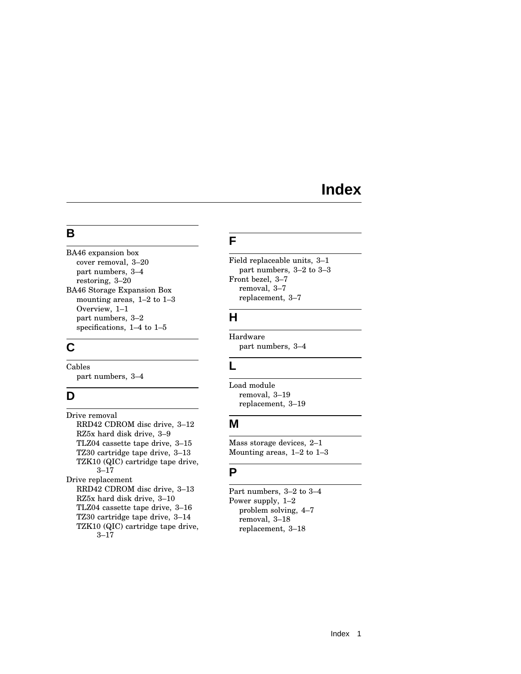# **Index**

## **B**

BA46 expansion box cover removal, 3–20 part numbers, 3–4 restoring, 3–20 BA46 Storage Expansion Box mounting areas, 1–2 to 1–3 Overview, 1–1 part numbers, 3–2 specifications, 1–4 to 1–5

## **C**

Cables part numbers, 3–4

## **D**

Drive removal RRD42 CDROM disc drive, 3–12 RZ5x hard disk drive, 3–9 TLZ04 cassette tape drive, 3–15 TZ30 cartridge tape drive, 3–13 TZK10 (QIC) cartridge tape drive, 3–17 Drive replacement RRD42 CDROM disc drive, 3–13 RZ5x hard disk drive, 3–10 TLZ04 cassette tape drive, 3–16 TZ30 cartridge tape drive, 3–14 TZK10 (QIC) cartridge tape drive, 3–17

## **F**

Field replaceable units, 3–1 part numbers, 3–2 to 3–3 Front bezel, 3–7 removal, 3–7 replacement, 3–7

## **H**

Hardware part numbers, 3–4

## **L**

Load module removal, 3–19 replacement, 3–19

## **M**

Mass storage devices, 2–1 Mounting areas, 1–2 to 1–3

## **P**

Part numbers, 3–2 to 3–4 Power supply, 1–2 problem solving, 4–7 removal, 3–18 replacement, 3–18